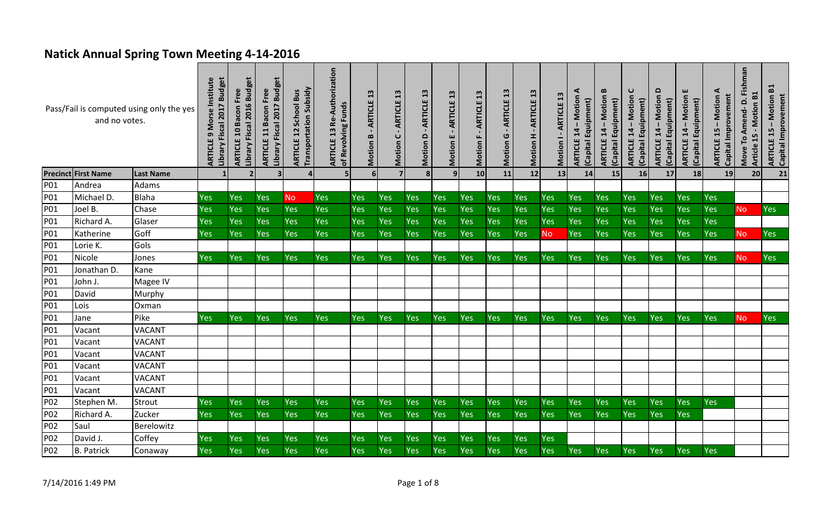## **Natick Annual Spring Town Meeting 4-14-2016**

|     | and no votes.              | Pass/Fail is computed using only the yes | Library Fiscal 2017 Budget<br>Morse Institute<br>Ō<br>ARTICLE | 2016 Budget<br><b>ARTICLE 10 Bacon Free</b><br>Library Fiscal | Library Fiscal 2017 Budget<br>ARTICLE 11 Bacon Free | <b>Transportation Subsidy</b><br><b>ARTICLE 12 School Bus</b> | orization<br>Re-Auth<br>of Revolving Funds<br>13<br>ARTICLE | 13<br>ARTICLE<br>Motion B | 13<br>ARTICLE<br>$\mathbf{\mathsf{C}}$<br>Motion | 13<br>ARTICLE<br>$\Omega$<br>Motion | ARTICLE 13<br>Motion E | $\mathbf{a}$<br>ARTICLE<br>Motion | 13<br>ARTICLE<br>ပ<br>Motion | 13<br><b>ARTICLE</b><br>H<br>Motion | $\mathbf{a}$<br>ARTICLE<br>Motion I | <b>ARTICLE 14 - Motion A</b><br>(Capital Equipment) | B<br>ARTICLE 14 - Motion<br>(Capital Equipment) | ပ<br>$14 - Motion$<br>(Capital Equipment)<br>ARTICLE | $\Omega$<br><b>ARTICLE 14 - Motion</b><br>(Capital Equipment) | ш<br>Motion<br>(Capital Equipment)<br>14<br>ARTICLE | ARTICLE 15 - Motion A<br>Capital Improvement | Fishman<br>- Motion B1<br>۵<br>Amend-<br>Article 15<br>Move To | <b>ARTICLE 15 - Motion B1</b><br>Capital Improvement |
|-----|----------------------------|------------------------------------------|---------------------------------------------------------------|---------------------------------------------------------------|-----------------------------------------------------|---------------------------------------------------------------|-------------------------------------------------------------|---------------------------|--------------------------------------------------|-------------------------------------|------------------------|-----------------------------------|------------------------------|-------------------------------------|-------------------------------------|-----------------------------------------------------|-------------------------------------------------|------------------------------------------------------|---------------------------------------------------------------|-----------------------------------------------------|----------------------------------------------|----------------------------------------------------------------|------------------------------------------------------|
|     | <b>Precinct First Name</b> | <b>Last Name</b>                         |                                                               | $\overline{2}$                                                | $\overline{\mathbf{3}}$                             | Δ                                                             | 5 <sub>5</sub>                                              | 6 <sup>1</sup>            | $\overline{7}$                                   | 8                                   | 9 <sub>l</sub>         | 10                                | 11                           | 12                                  | 13                                  | 14                                                  | 15                                              | 16                                                   | 17                                                            | 18                                                  | 19                                           | 20                                                             | 21                                                   |
| P01 | Andrea                     | Adams                                    |                                                               |                                                               |                                                     |                                                               |                                                             |                           |                                                  |                                     |                        |                                   |                              |                                     |                                     |                                                     |                                                 |                                                      |                                                               |                                                     |                                              |                                                                |                                                      |
| P01 | Michael D.                 | <b>Blaha</b>                             | Yes                                                           | <b>Yes</b>                                                    | Yes                                                 | <b>No</b>                                                     | Yes                                                         | Yes                       | Yes                                              | Yes                                 | <b>Yes</b>             | Yes                               | Yes                          | Yes                                 | Yes                                 | Yes                                                 | <b>Yes</b>                                      | Yes                                                  | Yes                                                           | <b>Yes</b>                                          | <b>Yes</b>                                   |                                                                |                                                      |
| P01 | Joel B.                    | Chase                                    | Yes                                                           | Yes                                                           | Yes                                                 | <b>Yes</b>                                                    | Yes                                                         | Yes                       | Yes                                              | Yes                                 | Yes                    | Yes                               | Yes                          | Yes                                 | Yes                                 | Yes                                                 | Yes                                             | Yes                                                  | Yes                                                           | Yes                                                 | Yes                                          | <b>No</b>                                                      | Yes                                                  |
| P01 | Richard A.                 | Glaser                                   | Yes                                                           | Yes                                                           | Yes                                                 | Yes                                                           | <b>Yes</b>                                                  | Yes                       | Yes                                              | Yes                                 | <b>Yes</b>             | Yes                               | Yes                          | Yes                                 | Yes                                 | Yes                                                 | <b>Yes</b>                                      | Yes                                                  | Yes                                                           | Yes                                                 | Yes                                          |                                                                |                                                      |
| P01 | Katherine                  | Goff                                     | <b>Yes</b>                                                    | <b>Yes</b>                                                    | Yes                                                 | <b>Yes</b>                                                    | <b>Yes</b>                                                  | Yes                       | Yes                                              | Yes                                 | <b>Yes</b>             | <b>Yes</b>                        | Yes                          | Yes                                 | <b>No</b>                           | <b>Yes</b>                                          | <b>Yes</b>                                      | Yes                                                  | Yes                                                           | <b>Yes</b>                                          | <b>Yes</b>                                   | <b>No</b>                                                      | Yes                                                  |
| P01 | Lorie K.                   | Gols                                     |                                                               |                                                               |                                                     |                                                               |                                                             |                           |                                                  |                                     |                        |                                   |                              |                                     |                                     |                                                     |                                                 |                                                      |                                                               |                                                     |                                              |                                                                |                                                      |
| P01 | Nicole                     | Jones                                    | <b>Yes</b>                                                    | <b>Yes</b>                                                    | Yes                                                 | <b>Yes</b>                                                    | Yes                                                         | Yes                       | Yes                                              | Yes                                 | <b>Yes</b>             | Yes                               | Yes                          | Yes                                 | <b>Yes</b>                          | Yes                                                 | <b>Yes</b>                                      | Yes                                                  | Yes                                                           | <b>Yes</b>                                          | <b>Yes</b>                                   | <b>No</b>                                                      | Yes                                                  |
| P01 | Jonathan D.                | Kane                                     |                                                               |                                                               |                                                     |                                                               |                                                             |                           |                                                  |                                     |                        |                                   |                              |                                     |                                     |                                                     |                                                 |                                                      |                                                               |                                                     |                                              |                                                                |                                                      |
| P01 | John J.                    | Magee IV                                 |                                                               |                                                               |                                                     |                                                               |                                                             |                           |                                                  |                                     |                        |                                   |                              |                                     |                                     |                                                     |                                                 |                                                      |                                                               |                                                     |                                              |                                                                |                                                      |
| P01 | David                      | Murphy                                   |                                                               |                                                               |                                                     |                                                               |                                                             |                           |                                                  |                                     |                        |                                   |                              |                                     |                                     |                                                     |                                                 |                                                      |                                                               |                                                     |                                              |                                                                |                                                      |
| P01 | Lois                       | Oxman                                    |                                                               |                                                               |                                                     |                                                               |                                                             |                           |                                                  |                                     |                        |                                   |                              |                                     |                                     |                                                     |                                                 |                                                      |                                                               |                                                     |                                              |                                                                |                                                      |
| P01 | Jane                       | Pike                                     | Yes                                                           | Yes                                                           | Yes                                                 | <b>Yes</b>                                                    | <b>Yes</b>                                                  | Yes                       | Yes                                              | Yes                                 | <b>Yes</b>             | Yes                               | Yes                          | Yes                                 | <b>Yes</b>                          | <b>Yes</b>                                          | <b>Yes</b>                                      | Yes                                                  | Yes                                                           | Yes                                                 | Yes                                          | No                                                             | Yes                                                  |
| P01 | Vacant                     | <b>VACANT</b>                            |                                                               |                                                               |                                                     |                                                               |                                                             |                           |                                                  |                                     |                        |                                   |                              |                                     |                                     |                                                     |                                                 |                                                      |                                                               |                                                     |                                              |                                                                |                                                      |
| P01 | Vacant                     | <b>VACANT</b>                            |                                                               |                                                               |                                                     |                                                               |                                                             |                           |                                                  |                                     |                        |                                   |                              |                                     |                                     |                                                     |                                                 |                                                      |                                                               |                                                     |                                              |                                                                |                                                      |
| P01 | Vacant                     | <b>VACANT</b>                            |                                                               |                                                               |                                                     |                                                               |                                                             |                           |                                                  |                                     |                        |                                   |                              |                                     |                                     |                                                     |                                                 |                                                      |                                                               |                                                     |                                              |                                                                |                                                      |
| P01 | Vacant                     | <b>VACANT</b>                            |                                                               |                                                               |                                                     |                                                               |                                                             |                           |                                                  |                                     |                        |                                   |                              |                                     |                                     |                                                     |                                                 |                                                      |                                                               |                                                     |                                              |                                                                |                                                      |
| P01 | Vacant                     | <b>VACANT</b>                            |                                                               |                                                               |                                                     |                                                               |                                                             |                           |                                                  |                                     |                        |                                   |                              |                                     |                                     |                                                     |                                                 |                                                      |                                                               |                                                     |                                              |                                                                |                                                      |
| P01 | Vacant                     | <b>VACANT</b>                            |                                                               |                                                               |                                                     |                                                               |                                                             |                           |                                                  |                                     |                        |                                   |                              |                                     |                                     |                                                     |                                                 |                                                      |                                                               |                                                     |                                              |                                                                |                                                      |
| P02 | Stephen M.                 | <b>Strout</b>                            | Yes                                                           | Yes                                                           | Yes                                                 | <b>Yes</b>                                                    | <b>Yes</b>                                                  | Yes                       | Yes                                              | Yes                                 | Yes                    | Yes                               | Yes                          | Yes                                 | Yes                                 | Yes                                                 | Yes                                             | Yes                                                  | Yes                                                           | Yes                                                 | <b>Yes</b>                                   |                                                                |                                                      |
| P02 | Richard A.                 | Zucker                                   | Yes                                                           | Yes                                                           | Yes                                                 | <b>Yes</b>                                                    | Yes                                                         | Yes                       | Yes                                              | Yes                                 | <b>Yes</b>             | Yes                               | Yes                          | Yes                                 | <b>Yes</b>                          | <b>Yes</b>                                          | <b>Yes</b>                                      | Yes                                                  | Yes                                                           | <b>Yes</b>                                          |                                              |                                                                |                                                      |
| P02 | Saul                       | Berelowitz                               |                                                               |                                                               |                                                     |                                                               |                                                             |                           |                                                  |                                     |                        |                                   |                              |                                     |                                     |                                                     |                                                 |                                                      |                                                               |                                                     |                                              |                                                                |                                                      |
| P02 | David J.                   | Coffey                                   | Yes                                                           | Yes                                                           | Yes                                                 | <b>Yes</b>                                                    | <b>Yes</b>                                                  | Yes                       | Yes                                              | Yes                                 | <b>Yes</b>             | Yes                               | Yes                          | Yes                                 | <b>Yes</b>                          |                                                     |                                                 |                                                      |                                                               |                                                     |                                              |                                                                |                                                      |
| P02 | <b>B.</b> Patrick          | Conaway                                  | Yes                                                           | Yes                                                           | Yes                                                 | <b>Yes</b>                                                    | <b>Yes</b>                                                  | Yes                       | Yes                                              | Yes                                 | <b>Yes</b>             | Yes                               | Yes                          | Yes                                 | Yes                                 | <b>Yes</b>                                          | <b>Yes</b>                                      | Yes                                                  | Yes                                                           | <b>Yes</b>                                          | Yes                                          |                                                                |                                                      |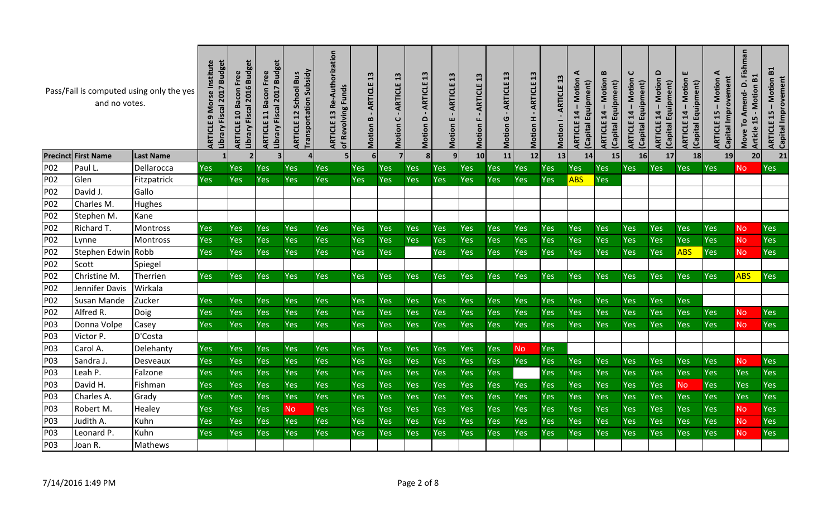|                 | and no votes.              | Pass/Fail is computed using only the yes | Institute<br>2017 Budget<br>Morse<br>Library Fiscal<br><b>ARTICLE</b> | 2016 Budget<br><b>ARTICLE 10 Bacon Free</b><br>Library Fiscal | 2017 Budget<br>Free<br>Bacon<br>Library Fiscal<br>11<br>ARTICLE | <b>Transportation Subsidy</b><br><b>School Bus</b><br>12<br>ARTICLE | Re-Authorization<br><b>Funds</b><br>of Revolving<br>$\frac{3}{2}$<br>ARTICLE | $\mathbf{a}$<br>ARTICLE<br>B<br>Motion | $\mathbf{a}$<br>ARTICLE<br>ပ<br>Motion | 13<br>ARTICLE<br>۵<br>Motion | $\mathbf{13}$<br>ARTICLE<br>Е<br>Motion | $\mathbf{13}$<br>ARTICLE<br>Motion | 13<br><b>ARTICLE</b><br>G<br>Motion | $\mathbf{a}$<br>ARTICLE<br>Motion H | <b>ARTICLE 13</b><br>Motion | ⋖<br>Motion<br>(Capital Equipment)<br>$14 -$<br><b>ARTICLE</b> | $\bf{m}$<br>Motion<br>(Capital Equipment)<br>$14 -$<br><b>ARTICLE</b> | C<br>Motion<br>Equipment)<br>14<br><b>ARTICLE</b><br>(Capital | $\Omega$<br><b>Motion</b><br>(Capital Equipment)<br>$14 -$<br>ARTICLE | ш<br>Motion<br>(Capital Equipment)<br>$14 -$<br>ARTICLE | ⋖<br>Capital Improvement<br>Motion<br>15<br>ARTICLE | Fishman<br>B1<br><u>ٰ</u><br>Motion<br>Amend-<br>15<br>Move To<br>Article | $\mathbf{E}$<br><b>ARTICLE 15 - Motion<br/>Capital Improvement</b> |
|-----------------|----------------------------|------------------------------------------|-----------------------------------------------------------------------|---------------------------------------------------------------|-----------------------------------------------------------------|---------------------------------------------------------------------|------------------------------------------------------------------------------|----------------------------------------|----------------------------------------|------------------------------|-----------------------------------------|------------------------------------|-------------------------------------|-------------------------------------|-----------------------------|----------------------------------------------------------------|-----------------------------------------------------------------------|---------------------------------------------------------------|-----------------------------------------------------------------------|---------------------------------------------------------|-----------------------------------------------------|---------------------------------------------------------------------------|--------------------------------------------------------------------|
|                 | <b>Precinct First Name</b> | <b>Last Name</b>                         |                                                                       | $\overline{2}$                                                | 3                                                               |                                                                     | 5                                                                            | 6                                      |                                        | 8 <sup>1</sup>               | 9 <sub>l</sub>                          | 10 <sup>1</sup>                    | 11                                  | 12                                  | 13                          | 14                                                             | 15                                                                    | 16                                                            | 17                                                                    | 18                                                      | 19                                                  | 20                                                                        | 21                                                                 |
| P <sub>02</sub> | Paul L.                    | Dellarocca                               | Yes                                                                   | Yes                                                           | Yes                                                             | Yes                                                                 | Yes                                                                          | Yes                                    | Yes                                    | <b>Yes</b>                   | Yes                                     | Yes                                | <b>Yes</b>                          | Yes                                 | Yes                         | <b>Yes</b>                                                     | <b>Yes</b>                                                            | <b>Yes</b>                                                    | Yes                                                                   | <b>Yes</b>                                              | <b>Yes</b>                                          | <b>No</b>                                                                 | Yes                                                                |
| P02             | Glen                       | Fitzpatrick                              | <b>Yes</b>                                                            | Yes                                                           | Yes                                                             | Yes                                                                 | Yes                                                                          | <b>Yes</b>                             | Yes                                    | <b>Yes</b>                   | Yes                                     | Yes                                | Yes                                 | <b>Yes</b>                          | Yes                         | <b>ABS</b>                                                     | <b>Yes</b>                                                            |                                                               |                                                                       |                                                         |                                                     |                                                                           |                                                                    |
| P02             | David J.                   | Gallo                                    |                                                                       |                                                               |                                                                 |                                                                     |                                                                              |                                        |                                        |                              |                                         |                                    |                                     |                                     |                             |                                                                |                                                                       |                                                               |                                                                       |                                                         |                                                     |                                                                           |                                                                    |
| P02             | Charles M.                 | Hughes                                   |                                                                       |                                                               |                                                                 |                                                                     |                                                                              |                                        |                                        |                              |                                         |                                    |                                     |                                     |                             |                                                                |                                                                       |                                                               |                                                                       |                                                         |                                                     |                                                                           |                                                                    |
| P02             | Stephen M.                 | Kane                                     |                                                                       |                                                               |                                                                 |                                                                     |                                                                              |                                        |                                        |                              |                                         |                                    |                                     |                                     |                             |                                                                |                                                                       |                                                               |                                                                       |                                                         |                                                     |                                                                           |                                                                    |
| P02             | Richard T.                 | Montross                                 | Yes                                                                   | Yes                                                           | <b>Yes</b>                                                      | Yes                                                                 | <b>Yes</b>                                                                   | <b>Yes</b>                             | Yes                                    | <b>Yes</b>                   | <b>Yes</b>                              | Yes                                | Yes                                 | <b>Yes</b>                          | Yes                         | Yes                                                            | Yes                                                                   | <b>Yes</b>                                                    | Yes                                                                   | <b>Yes</b>                                              | Yes                                                 | No.                                                                       | <b>Yes</b>                                                         |
| P02             | Lynne                      | Montross                                 | Yes                                                                   | Yes                                                           | Yes                                                             | Yes                                                                 | Yes                                                                          | Yes                                    | Yes                                    | Yes                          | Yes                                     | Yes                                | Yes                                 | <b>Yes</b>                          | Yes                         | Yes                                                            | Yes                                                                   | Yes                                                           | Yes                                                                   | <b>Yes</b>                                              | Yes                                                 | <b>No</b>                                                                 | Yes                                                                |
| P02             | Stephen Edwin Robb         |                                          | Yes                                                                   | Yes                                                           | Yes                                                             | Yes                                                                 | Yes                                                                          | <b>Yes</b>                             | Yes                                    |                              | Yes                                     | Yes                                | Yes                                 | Yes                                 | Yes                         | Yes                                                            | Yes                                                                   | <b>Yes</b>                                                    | Yes                                                                   | <b>ABS</b>                                              | Yes                                                 | No.                                                                       | Yes                                                                |
| P02             | Scott                      | Spiegel                                  |                                                                       |                                                               |                                                                 |                                                                     |                                                                              |                                        |                                        |                              |                                         |                                    |                                     |                                     |                             |                                                                |                                                                       |                                                               |                                                                       |                                                         |                                                     |                                                                           |                                                                    |
| P02             | Christine M.               | Therrien                                 | Yes                                                                   | Yes                                                           | Yes                                                             | Yes                                                                 | <b>Yes</b>                                                                   | <b>Yes</b>                             | Yes                                    | <b>Yes</b>                   | Yes                                     | Yes                                | <b>Yes</b>                          | Yes                                 | Yes                         | Yes                                                            | <b>Yes</b>                                                            | <b>Yes</b>                                                    | Yes                                                                   | <b>Yes</b>                                              | Yes                                                 | <b>ABS</b>                                                                | Yes                                                                |
| P02             | Jennifer Davis             | Wirkala                                  |                                                                       |                                                               |                                                                 |                                                                     |                                                                              |                                        |                                        |                              |                                         |                                    |                                     |                                     |                             |                                                                |                                                                       |                                                               |                                                                       |                                                         |                                                     |                                                                           |                                                                    |
| P02             | <b>Susan Mande</b>         | Zucker                                   | Yes                                                                   | Yes                                                           | <b>Yes</b>                                                      | <b>Yes</b>                                                          | <b>Yes</b>                                                                   | <b>Yes</b>                             | Yes                                    | <b>Yes</b>                   | Yes                                     | Yes                                | Yes                                 | Yes                                 | Yes                         | Yes                                                            | Yes                                                                   | Yes                                                           | Yes                                                                   | <b>Yes</b>                                              |                                                     |                                                                           |                                                                    |
| P02             | Alfred R.                  | Doig                                     | Yes                                                                   | Yes                                                           | Yes                                                             | Yes                                                                 | Yes                                                                          | <b>Yes</b>                             | Yes                                    | Yes                          | Yes                                     | Yes                                | Yes                                 | <b>Yes</b>                          | Yes                         | Yes                                                            | Yes                                                                   | Yes                                                           | Yes                                                                   | Yes                                                     | <b>Yes</b>                                          | <b>No</b>                                                                 | Yes                                                                |
| P03             | Donna Volpe                | Casey                                    | Yes                                                                   | Yes                                                           | Yes                                                             | Yes                                                                 | Yes                                                                          | <b>Yes</b>                             | Yes                                    | <b>Yes</b>                   | Yes                                     | Yes                                | Yes                                 | <b>Yes</b>                          | Yes                         | Yes                                                            | Yes                                                                   | <b>Yes</b>                                                    | Yes                                                                   | <b>Yes</b>                                              | Yes                                                 | <b>No</b>                                                                 | Yes                                                                |
| P03             | Victor P.                  | D'Costa                                  |                                                                       |                                                               |                                                                 |                                                                     |                                                                              |                                        |                                        |                              |                                         |                                    |                                     |                                     |                             |                                                                |                                                                       |                                                               |                                                                       |                                                         |                                                     |                                                                           |                                                                    |
| P03             | Carol A.                   | Delehanty                                | Yes                                                                   | Yes                                                           | <b>Yes</b>                                                      | Yes                                                                 | Yes                                                                          | <b>Yes</b>                             | Yes                                    | Yes                          | Yes                                     | Yes                                | <b>Yes</b>                          | <b>No</b>                           | Yes                         |                                                                |                                                                       |                                                               |                                                                       |                                                         |                                                     |                                                                           |                                                                    |
| P03             | Sandra J.                  | Desveaux                                 | Yes                                                                   | Yes                                                           | Yes                                                             | Yes                                                                 | Yes                                                                          | Yes                                    | Yes                                    | Yes                          | Yes                                     | Yes                                | Yes                                 | Yes                                 | Yes                         | Yes                                                            | Yes                                                                   | Yes                                                           | Yes                                                                   | <b>Yes</b>                                              | Yes                                                 | <b>No</b>                                                                 | Yes                                                                |
| P03             | Leah P.                    | Falzone                                  | Yes                                                                   | Yes                                                           | Yes                                                             | Yes                                                                 | Yes                                                                          | <b>Yes</b>                             | Yes                                    | <b>Yes</b>                   | Yes                                     | Yes                                | <b>Yes</b>                          |                                     | Yes                         | Yes                                                            | Yes                                                                   | Yes                                                           | Yes                                                                   | <b>Yes</b>                                              | Yes                                                 | Yes                                                                       | Yes                                                                |
| P03             | David H.                   | Fishman                                  | Yes                                                                   | Yes                                                           | Yes                                                             | Yes                                                                 | <b>Yes</b>                                                                   | <b>Yes</b>                             | Yes                                    | <b>Yes</b>                   | Yes                                     | Yes                                | Yes                                 | Yes                                 | Yes                         | Yes                                                            | Yes                                                                   | <b>Yes</b>                                                    | Yes                                                                   | <b>No</b>                                               | Yes                                                 | Yes                                                                       | Yes                                                                |
| P03             | Charles A.                 | Grady                                    | Yes                                                                   | Yes                                                           | <b>Yes</b>                                                      | Yes                                                                 | Yes                                                                          | <b>Yes</b>                             | Yes                                    | <b>Yes</b>                   | Yes                                     | Yes                                | Yes                                 | Yes                                 | Yes                         | Yes                                                            | Yes                                                                   | <b>Yes</b>                                                    | Yes                                                                   | <b>Yes</b>                                              | Yes                                                 | Yes                                                                       | <b>Yes</b>                                                         |
| P03             | Robert M.                  | Healey                                   | Yes                                                                   | Yes                                                           | <b>Yes</b>                                                      | <b>No</b>                                                           | Yes                                                                          | <b>Yes</b>                             | Yes                                    | <b>Yes</b>                   | Yes                                     | Yes                                | Yes                                 | <b>Yes</b>                          | Yes                         | Yes                                                            | Yes                                                                   | <b>Yes</b>                                                    | Yes                                                                   | <b>Yes</b>                                              | <b>Yes</b>                                          | <b>No</b>                                                                 | Yes                                                                |
| P03             | Judith A.                  | Kuhn                                     | Yes                                                                   | Yes                                                           | Yes                                                             | Yes                                                                 | Yes                                                                          | <b>Yes</b>                             | Yes                                    | Yes                          | Yes                                     | Yes                                | Yes                                 | <b>Yes</b>                          | Yes                         | Yes                                                            | Yes                                                                   | Yes                                                           | Yes                                                                   | <b>Yes</b>                                              | Yes                                                 | <b>No</b>                                                                 | Yes                                                                |
| P03             | Leonard P.                 | Kuhn                                     | Yes                                                                   | Yes                                                           | <b>Yes</b>                                                      | Yes                                                                 | <b>Yes</b>                                                                   | <b>Yes</b>                             | Yes                                    | <b>Yes</b>                   | Yes                                     | Yes                                | Yes                                 | Yes                                 | <b>Yes</b>                  | Yes                                                            | Yes                                                                   | <b>Yes</b>                                                    | Yes                                                                   | <b>Yes</b>                                              | Yes                                                 | N <sub>o</sub>                                                            | Yes                                                                |
| P03             | Joan R.                    | Mathews                                  |                                                                       |                                                               |                                                                 |                                                                     |                                                                              |                                        |                                        |                              |                                         |                                    |                                     |                                     |                             |                                                                |                                                                       |                                                               |                                                                       |                                                         |                                                     |                                                                           |                                                                    |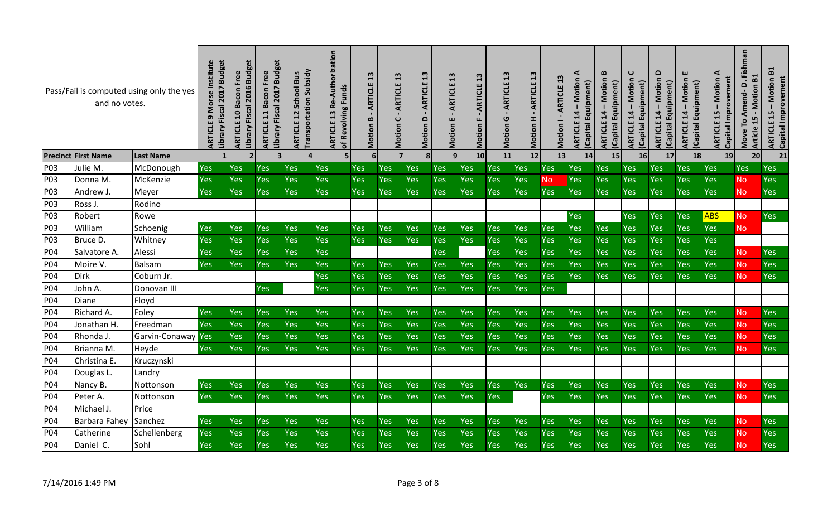|                 | and no votes.              | Pass/Fail is computed using only the yes | 2017 Budget<br>Library Fiscal<br><b>ARTICL</b> | Library Fiscal 2016 Budget<br><b>ARTICLE 10 Bacon Free</b> | 2017 Budget<br>Free<br>Bacon<br>Library Fiscal<br>11<br>ARTICLE | <b>Transportation Subsidy</b><br><b>Bus</b><br>School<br>12<br>ARTICLE | Re-Authorization<br>of Revolving Funds<br>$\frac{3}{1}$<br><b>ARTICLE</b> | $\mathbf{a}$<br>ARTICLE<br>$\bf{m}$<br>Motion | $\mathbf{a}$<br><b>ARTICLE</b><br>ပ<br>Motion | $\mathbf{a}$<br>ARTICLE<br>$\Omega$<br>Motion | 13<br>ARTICLE<br>Е<br>Motion | $\mathbf{13}$<br>ARTICLE<br>Motion | 13<br>ARTICLE<br>ပ<br>Motion | $\mathbf{a}$<br>ARTICLE<br>Motion H | ARTICLE 13<br>Motion | ⋖<br>Motion<br>(Capital Equipment)<br>$\overline{4}$<br>ARTICLE | $\bf{m}$<br>Motion<br>(Capital Equipment)<br>$14 -$<br><b>ARTICLE</b> | C<br>Motion<br>(Capital Equipment)<br>14<br>ARTICLE | $\Omega$<br><b>Motion</b><br>Equipment)<br>$14 -$<br><b>ARTICLE</b><br>Capital | ш<br>Motion<br>(Capital Equipment)<br>$14 -$<br><b>ARTICLE</b> | ⋖<br>Capital Improvement<br><b>Motion</b><br>15<br>ARTICLE | Fishman<br>B1<br>Amend-D.<br>Motion<br>ഥ<br>Move To<br>1<br><b>Article</b> | B1<br><b>ARTICLE 15 - Motion<br/>Capital Improvement</b> |
|-----------------|----------------------------|------------------------------------------|------------------------------------------------|------------------------------------------------------------|-----------------------------------------------------------------|------------------------------------------------------------------------|---------------------------------------------------------------------------|-----------------------------------------------|-----------------------------------------------|-----------------------------------------------|------------------------------|------------------------------------|------------------------------|-------------------------------------|----------------------|-----------------------------------------------------------------|-----------------------------------------------------------------------|-----------------------------------------------------|--------------------------------------------------------------------------------|----------------------------------------------------------------|------------------------------------------------------------|----------------------------------------------------------------------------|----------------------------------------------------------|
|                 | <b>Precinct First Name</b> | <b>Last Name</b>                         |                                                |                                                            | 3                                                               | $\overline{4}$                                                         | 5 <sub>l</sub>                                                            | 6 <sup>1</sup>                                |                                               | 8 <sup>1</sup>                                | 9 <sub>l</sub>               | 10                                 | 11                           | 12                                  | 13                   | 14                                                              | 15                                                                    | 16                                                  | 17                                                                             | 18                                                             | 19                                                         | 20                                                                         | 21                                                       |
| P03             | Julie M.                   | McDonough                                | Yes                                            | Yes                                                        | <b>Yes</b>                                                      | Yes                                                                    | Yes                                                                       | Yes                                           | Yes                                           | Yes                                           | Yes                          | Yes                                | Yes                          | Yes                                 | Yes                  | Yes                                                             | <b>Yes</b>                                                            | Yes                                                 | <b>Yes</b>                                                                     | <b>Yes</b>                                                     | Yes                                                        | Yes                                                                        | Yes                                                      |
| P03             | Donna M.                   | McKenzie                                 | Yes                                            | Yes                                                        | <b>Yes</b>                                                      | Yes                                                                    | Yes                                                                       | <b>Yes</b>                                    | Yes                                           | Yes                                           | Yes                          | Yes                                | Yes                          | Yes                                 | <b>No</b>            | Yes                                                             | Yes                                                                   | Yes                                                 | Yes                                                                            | Yes                                                            | Yes                                                        | <b>No</b>                                                                  | Yes                                                      |
| P03             | Andrew J.                  | Meyer                                    | Yes                                            | Yes                                                        | <b>Yes</b>                                                      | Yes                                                                    | Yes                                                                       | <b>Yes</b>                                    | Yes                                           | Yes                                           | Yes                          | Yes                                | Yes                          | <b>Yes</b>                          | Yes                  | Yes                                                             | Yes                                                                   | Yes                                                 | Yes                                                                            | <b>Yes</b>                                                     | Yes                                                        | <b>No</b>                                                                  | <b>Yes</b>                                               |
| P <sub>03</sub> | Ross J.                    | Rodino                                   |                                                |                                                            |                                                                 |                                                                        |                                                                           |                                               |                                               |                                               |                              |                                    |                              |                                     |                      |                                                                 |                                                                       |                                                     |                                                                                |                                                                |                                                            |                                                                            |                                                          |
| P03             | Robert                     | Rowe                                     |                                                |                                                            |                                                                 |                                                                        |                                                                           |                                               |                                               |                                               |                              |                                    |                              |                                     |                      | Yes                                                             |                                                                       | Yes                                                 | Yes                                                                            | Yes                                                            | <b>ABS</b>                                                 | <b>No</b>                                                                  | <b>Yes</b>                                               |
| P03             | William                    | Schoenig                                 | <b>Yes</b>                                     | Yes                                                        | <b>Yes</b>                                                      | Yes                                                                    | Yes                                                                       | <b>Yes</b>                                    | Yes                                           | <b>Yes</b>                                    | Yes                          | Yes                                | Yes                          | Yes                                 | Yes                  | Yes                                                             | Yes                                                                   | Yes                                                 | Yes                                                                            | <b>Yes</b>                                                     | <b>Yes</b>                                                 | <b>No</b>                                                                  |                                                          |
| P03             | Bruce D                    | Whitney                                  | Yes                                            | Yes                                                        | <b>Yes</b>                                                      | Yes                                                                    | Yes                                                                       | <b>Yes</b>                                    | Yes                                           | Yes                                           | Yes                          | Yes                                | Yes                          | <b>Yes</b>                          | Yes                  | Yes                                                             | Yes                                                                   | Yes                                                 | Yes                                                                            | <b>Yes</b>                                                     | Yes                                                        |                                                                            |                                                          |
| P04             | Salvatore A.               | Alessi                                   | <b>Yes</b>                                     | Yes                                                        | <b>Yes</b>                                                      | Yes                                                                    | Yes                                                                       |                                               |                                               |                                               | Yes                          |                                    | Yes                          | <b>Yes</b>                          | Yes                  | Yes                                                             | Yes                                                                   | Yes                                                 | Yes                                                                            | <b>Yes</b>                                                     | Yes                                                        | <b>No</b>                                                                  | Yes                                                      |
| P04             | Moire V.                   | Balsam                                   | <b>Yes</b>                                     | Yes                                                        | <b>Yes</b>                                                      | Yes                                                                    | Yes                                                                       | <b>Yes</b>                                    | Yes                                           | Yes                                           | Yes                          | Yes                                | Yes                          | <b>Yes</b>                          | Yes                  | Yes                                                             | Yes                                                                   | Yes                                                 | Yes                                                                            | <b>Yes</b>                                                     | Yes                                                        | <b>No</b>                                                                  | Yes                                                      |
| P <sub>04</sub> | Dirk                       | Coburn Jr.                               |                                                |                                                            |                                                                 |                                                                        | Yes                                                                       | <b>Yes</b>                                    | Yes                                           | Yes                                           | Yes                          | Yes                                | Yes                          | <b>Yes</b>                          | Yes                  | Yes                                                             | <b>Yes</b>                                                            | Yes                                                 | Yes                                                                            | <b>Yes</b>                                                     | Yes                                                        | <b>No</b>                                                                  | Yes                                                      |
| P04             | John A.                    | Donovan III                              |                                                |                                                            | <b>Yes</b>                                                      |                                                                        | Yes                                                                       | <b>Yes</b>                                    | Yes                                           | Yes                                           | <b>Yes</b>                   | Yes                                | Yes                          | <b>Yes</b>                          | Yes                  |                                                                 |                                                                       |                                                     |                                                                                |                                                                |                                                            |                                                                            |                                                          |
| P04             | Diane                      | Floyd                                    |                                                |                                                            |                                                                 |                                                                        |                                                                           |                                               |                                               |                                               |                              |                                    |                              |                                     |                      |                                                                 |                                                                       |                                                     |                                                                                |                                                                |                                                            |                                                                            |                                                          |
| P04             | Richard A.                 | Foley                                    | Yes                                            | Yes                                                        | <b>Yes</b>                                                      | Yes                                                                    | <b>Yes</b>                                                                | <b>Yes</b>                                    | Yes                                           | <b>Yes</b>                                    | <b>Yes</b>                   | Yes                                | Yes                          | Yes                                 | Yes                  | Yes                                                             | <b>Yes</b>                                                            | Yes                                                 | Yes                                                                            | <b>Yes</b>                                                     | <b>Yes</b>                                                 | <b>No</b>                                                                  | Yes                                                      |
| <b>P04</b>      | Jonathan H.                | Freedman                                 | <b>Yes</b>                                     | Yes                                                        | <b>Yes</b>                                                      | Yes                                                                    | Yes                                                                       | Yes                                           | Yes                                           | Yes                                           | Yes                          | Yes                                | Yes                          | <b>Yes</b>                          | Yes                  | Yes                                                             | Yes                                                                   | Yes                                                 | Yes                                                                            | Yes                                                            | Yes                                                        | <b>No</b>                                                                  | Yes                                                      |
| <b>P04</b>      | Rhonda J.                  | Garvin-Conaway                           | Yes                                            | Yes                                                        | <b>Yes</b>                                                      | Yes                                                                    | Yes                                                                       | <b>Yes</b>                                    | Yes                                           | Yes                                           | Yes                          | Yes                                | Yes                          | <b>Yes</b>                          | Yes                  | Yes                                                             | Yes                                                                   | Yes                                                 | Yes                                                                            | <b>Yes</b>                                                     | Yes                                                        | <b>No</b>                                                                  | Yes                                                      |
| P04             | Brianna M.                 | Heyde                                    | Yes                                            | Yes                                                        | <b>Yes</b>                                                      | Yes                                                                    | Yes                                                                       | <b>Yes</b>                                    | Yes                                           | Yes                                           | Yes                          | Yes                                | Yes                          | <b>Yes</b>                          | Yes                  | Yes                                                             | Yes                                                                   | <b>Yes</b>                                          | Yes                                                                            | Yes                                                            | <b>Yes</b>                                                 | <b>No</b>                                                                  | <b>Yes</b>                                               |
| P <sub>04</sub> | Christina E.               | Kruczynski                               |                                                |                                                            |                                                                 |                                                                        |                                                                           |                                               |                                               |                                               |                              |                                    |                              |                                     |                      |                                                                 |                                                                       |                                                     |                                                                                |                                                                |                                                            |                                                                            |                                                          |
| P04             | Douglas L.                 | Landry                                   |                                                |                                                            |                                                                 |                                                                        |                                                                           |                                               |                                               |                                               |                              |                                    |                              |                                     |                      |                                                                 |                                                                       |                                                     |                                                                                |                                                                |                                                            |                                                                            |                                                          |
| P04             | Nancy B.                   | Nottonson                                | <b>Yes</b>                                     | Yes                                                        | <b>Yes</b>                                                      | Yes                                                                    | Yes                                                                       | <b>Yes</b>                                    | Yes                                           | Yes                                           | Yes                          | Yes                                | Yes                          | <b>Yes</b>                          | Yes                  | Yes                                                             | Yes                                                                   | Yes                                                 | Yes                                                                            | <b>Yes</b>                                                     | <b>Yes</b>                                                 | <b>No</b>                                                                  | Yes                                                      |
| P04             | Peter A.                   | Nottonson                                | <b>Yes</b>                                     | Yes                                                        | <b>Yes</b>                                                      | <b>Yes</b>                                                             | <b>Yes</b>                                                                | <b>Yes</b>                                    | <b>Yes</b>                                    | <b>Yes</b>                                    | <b>Yes</b>                   | Yes                                | <b>Yes</b>                   |                                     | Yes                  | Yes                                                             | <b>Yes</b>                                                            | Yes                                                 | Yes                                                                            | <b>Yes</b>                                                     | <b>Yes</b>                                                 | <b>No</b>                                                                  | Yes                                                      |
| P04             | Michael J.                 | Price                                    |                                                |                                                            |                                                                 |                                                                        |                                                                           |                                               |                                               |                                               |                              |                                    |                              |                                     |                      |                                                                 |                                                                       |                                                     |                                                                                |                                                                |                                                            |                                                                            |                                                          |
| P <sub>04</sub> | Barbara Fahey              | Sanchez                                  | <b>Yes</b>                                     | Yes                                                        | <b>Yes</b>                                                      | Yes                                                                    | Yes                                                                       | <b>Yes</b>                                    | Yes                                           | Yes                                           | Yes                          | Yes                                | Yes                          | <b>Yes</b>                          | Yes                  | Yes                                                             | Yes                                                                   | Yes                                                 | Yes                                                                            | <b>Yes</b>                                                     | <b>Yes</b>                                                 | <b>No</b>                                                                  | Yes                                                      |
| P04             | Catherine                  | Schellenberg                             | Yes                                            | Yes                                                        | Yes                                                             | Yes                                                                    | Yes                                                                       | <b>Yes</b>                                    | Yes                                           | Yes                                           | Yes                          | Yes                                | Yes                          | <b>Yes</b>                          | Yes                  | Yes                                                             | Yes                                                                   | Yes                                                 | Yes                                                                            | <b>Yes</b>                                                     | Yes                                                        | <b>No</b>                                                                  | Yes                                                      |
| <b>P04</b>      | Daniel C.                  | Sohl                                     | <b>Yes</b>                                     | Yes                                                        | <b>Yes</b>                                                      | Yes                                                                    | Yes                                                                       | <b>Yes</b>                                    | Yes                                           | Yes                                           | Yes                          | Yes                                | Yes                          | <b>Yes</b>                          | Yes                  | Yes                                                             | Yes                                                                   | Yes                                                 | Yes                                                                            | <b>Yes</b>                                                     | Yes                                                        | <b>No</b>                                                                  | Yes                                                      |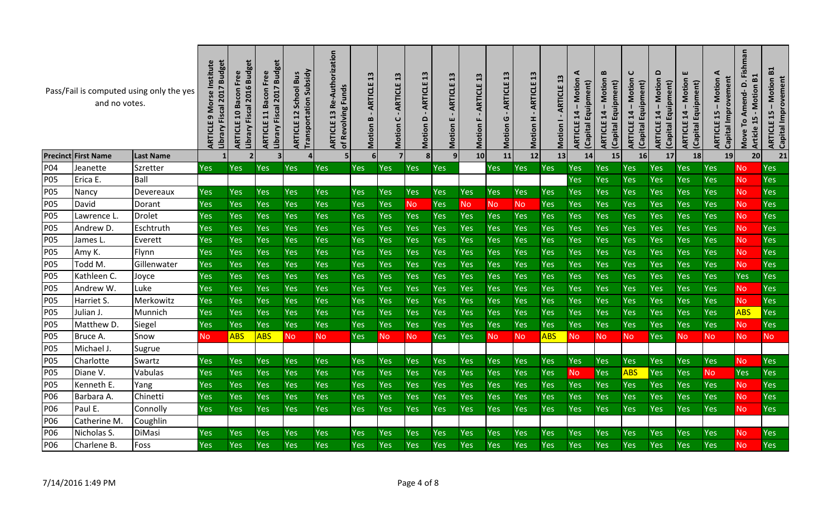|            | and no votes.              | Pass/Fail is computed using only the yes | Institute<br>2017 Budget<br>Morse<br>Library Fiscal<br>ARTICLE | <b>Budget</b><br>Free<br>2016<br><b>ARTICLE 10 Bacon</b><br>Fiscal<br>Library | 2017 Budget<br>Free<br>Bacon<br>Library Fiscal<br>11<br>ARTICLE | <b>Transportation Subsidy</b><br><b>Bus</b><br>School<br>12<br>ARTICLE | Re-Authorization<br><b>Funds</b><br>Revolving<br>13<br>ARTICLE<br>$\mathbf{b}$ | $\overline{13}$<br>ARTICLE<br>$\bf{m}$<br>Motion | $\mathbf{a}$<br>ARTICLE<br>$\mathbf C$<br>Motion | $\mathbf{13}$<br>ARTICLE<br>۵<br>Motion | 13<br>ARTICLE<br>ш<br>Motion | 13<br><b>ARTICLE</b><br>Motion | $\boldsymbol{13}$<br><b>ARTICLE</b><br>ပ<br>Motion | 13<br>ARTICLE<br>I.<br>Motion | 13<br>ARTICLE<br>Motion | ⋖<br>Motion<br>(Capital Equipment)<br>$\overline{14}$<br>ARTICLE | B<br>Motion<br>(Capital Equipment)<br>$\mathbf{I}$<br>14<br>ARTICLE | C<br>Motion<br>Equipment)<br>$14 -$<br><b>ARTICLE</b><br>(Capital | $\Omega$<br><b>Motion</b><br>Equipment)<br>$14 -$<br>ARTICLE<br>(Capital | ш<br>Motion<br>(Capital Equipment)<br>$\overline{14}$<br>ARTICLE | ⋖<br>Capital Improvement<br>Motion<br>15<br><b>ARTICLE</b> | Fishman<br>B1<br>۵<br>- Motion<br>Amend-<br>5<br>ro<br>1<br>Article<br>Move | B1<br><b>ARTICLE 15 - Motion<br/>Capital Improvement</b> |
|------------|----------------------------|------------------------------------------|----------------------------------------------------------------|-------------------------------------------------------------------------------|-----------------------------------------------------------------|------------------------------------------------------------------------|--------------------------------------------------------------------------------|--------------------------------------------------|--------------------------------------------------|-----------------------------------------|------------------------------|--------------------------------|----------------------------------------------------|-------------------------------|-------------------------|------------------------------------------------------------------|---------------------------------------------------------------------|-------------------------------------------------------------------|--------------------------------------------------------------------------|------------------------------------------------------------------|------------------------------------------------------------|-----------------------------------------------------------------------------|----------------------------------------------------------|
|            | <b>Precinct First Name</b> | <b>Last Name</b>                         |                                                                | $\mathbf{2}$                                                                  |                                                                 | $\vert$                                                                | 5 <sub>l</sub>                                                                 | 6                                                |                                                  | 8                                       |                              | 10 <sup>1</sup>                | 11                                                 | 12                            | 13                      | 14                                                               | 15                                                                  | 16                                                                | 17                                                                       | 18                                                               | 19                                                         | 20                                                                          | 21                                                       |
| P04        | Jeanette                   | Szretter                                 | Yes                                                            | Yes                                                                           | <b>Yes</b>                                                      | Yes                                                                    | <b>Yes</b>                                                                     | Yes                                              | <b>Yes</b>                                       | <b>Yes</b>                              | Yes                          |                                | Yes                                                | Yes                           | Yes                     | Yes                                                              | <b>Yes</b>                                                          | Yes                                                               | Yes                                                                      | <b>Yes</b>                                                       | <b>Yes</b>                                                 | <b>No</b>                                                                   | Yes                                                      |
| <b>P05</b> | Erica E.                   | Ball                                     |                                                                |                                                                               |                                                                 |                                                                        |                                                                                |                                                  |                                                  |                                         |                              |                                |                                                    |                               |                         | Yes                                                              | Yes                                                                 | Yes                                                               | Yes                                                                      | Yes                                                              | Yes                                                        | <b>No</b>                                                                   | Yes                                                      |
| <b>P05</b> | Nancy                      | Devereaux                                | Yes                                                            | Yes                                                                           | Yes                                                             | Yes                                                                    | Yes                                                                            | Yes                                              | Yes                                              | <b>Yes</b>                              | Yes                          | Yes                            | Yes                                                | Yes                           | Yes                     | Yes                                                              | Yes                                                                 | Yes                                                               | Yes                                                                      | Yes                                                              | Yes                                                        | <b>No</b>                                                                   | Yes                                                      |
| <b>P05</b> | David                      | Dorant                                   | Yes                                                            | Yes                                                                           | Yes                                                             | Yes                                                                    | Yes                                                                            | <b>Yes</b>                                       | Yes                                              | <b>No</b>                               | Yes                          | <b>No</b>                      | <b>No</b>                                          | <b>No</b>                     | Yes                     | Yes                                                              | <b>Yes</b>                                                          | Yes                                                               | Yes                                                                      | Yes                                                              | Yes                                                        | <b>No</b>                                                                   | Yes                                                      |
| <b>P05</b> | Lawrence L                 | <b>Drolet</b>                            | Yes                                                            | Yes                                                                           | Yes                                                             | Yes                                                                    | Yes                                                                            | Yes                                              | Yes                                              | Yes                                     | Yes                          | Yes                            | Yes                                                | <b>Yes</b>                    | Yes                     | Yes                                                              | Yes                                                                 | Yes                                                               | Yes                                                                      | Yes                                                              | Yes                                                        | <b>No</b>                                                                   | Yes                                                      |
| <b>P05</b> | Andrew D.                  | Eschtruth                                | Yes                                                            | Yes                                                                           | Yes                                                             | Yes                                                                    | Yes                                                                            | Yes                                              | <b>Yes</b>                                       | Yes                                     | Yes                          | Yes                            | Yes                                                | Yes                           | Yes                     | Yes                                                              | Yes                                                                 | Yes                                                               | Yes                                                                      | Yes                                                              | Yes                                                        | <b>No</b>                                                                   | Yes                                                      |
| <b>P05</b> | James L                    | Everett                                  | Yes                                                            | Yes                                                                           | Yes                                                             | Yes                                                                    | Yes                                                                            | Yes                                              | <b>Yes</b>                                       | Yes                                     | Yes                          | Yes                            | Yes                                                | Yes                           | Yes                     | Yes                                                              | Yes                                                                 | Yes                                                               | Yes                                                                      | Yes                                                              | Yes                                                        | <b>No</b>                                                                   | Yes                                                      |
| <b>P05</b> | Amy K.                     | Flynn                                    | Yes                                                            | Yes                                                                           | Yes                                                             | Yes                                                                    | Yes                                                                            | Yes                                              | Yes                                              | Yes                                     | Yes                          | Yes                            | Yes                                                | Yes                           | Yes                     | Yes                                                              | Yes                                                                 | Yes                                                               | Yes                                                                      | Yes                                                              | Yes                                                        | <b>No</b>                                                                   | Yes                                                      |
| <b>P05</b> | Todd M.                    | Gillenwater                              | Yes                                                            | Yes                                                                           | Yes                                                             | Yes                                                                    | <b>Yes</b>                                                                     | Yes                                              | Yes                                              | <b>Yes</b>                              | Yes                          | Yes                            | Yes                                                | Yes                           | Yes                     | Yes                                                              | Yes                                                                 | Yes                                                               | Yes                                                                      | Yes                                                              | Yes                                                        | <b>No</b>                                                                   | Yes                                                      |
| <b>P05</b> | Kathleen C.                | Joyce                                    | Yes                                                            | Yes                                                                           | Yes                                                             | Yes                                                                    | <b>Yes</b>                                                                     | Yes                                              | <b>Yes</b>                                       | <b>Yes</b>                              | Yes                          | Yes                            | Yes                                                | Yes                           | Yes                     | Yes                                                              | Yes                                                                 | Yes                                                               | Yes                                                                      | Yes                                                              | Yes                                                        | Yes                                                                         | Yes                                                      |
| <b>P05</b> | Andrew W.                  | Luke                                     | Yes                                                            | Yes                                                                           | Yes                                                             | Yes                                                                    | <b>Yes</b>                                                                     | Yes                                              | Yes                                              | Yes                                     | Yes                          | Yes                            | Yes                                                | Yes                           | Yes                     | Yes                                                              | Yes                                                                 | Yes                                                               | Yes                                                                      | Yes                                                              | Yes                                                        | <b>No</b>                                                                   | Yes                                                      |
| <b>P05</b> | Harriet S.                 | Merkowitz                                | Yes                                                            | Yes                                                                           | Yes                                                             | Yes                                                                    | <b>Yes</b>                                                                     | Yes                                              | Yes                                              | Yes                                     | Yes                          | Yes                            | Yes                                                | Yes                           | Yes                     | Yes                                                              | Yes                                                                 | Yes                                                               | Yes                                                                      | Yes                                                              | Yes                                                        | <b>No</b>                                                                   | Yes                                                      |
| <b>P05</b> | Julian J.                  | Munnich                                  | Yes                                                            | Yes                                                                           | Yes                                                             | Yes                                                                    | <b>Yes</b>                                                                     | Yes                                              | Yes                                              | Yes                                     | Yes                          | Yes                            | Yes                                                | Yes                           | <b>Yes</b>              | Yes                                                              | Yes                                                                 | Yes                                                               | Yes                                                                      | Yes                                                              | Yes                                                        | <b>ABS</b>                                                                  | Yes                                                      |
| <b>P05</b> | Matthew D.                 | Siegel                                   | Yes                                                            | Yes                                                                           | Yes                                                             | Yes                                                                    | <b>Yes</b>                                                                     | Yes                                              | Yes                                              | <b>Yes</b>                              | Yes                          | Yes                            | Yes                                                | Yes                           | <b>Yes</b>              | Yes                                                              | Yes                                                                 | Yes                                                               | Yes                                                                      | Yes                                                              | <b>Yes</b>                                                 | <b>No</b>                                                                   | Yes                                                      |
| <b>P05</b> | Bruce A.                   | Snow                                     | <b>No</b>                                                      | <b>ABS</b>                                                                    | <b>ABS</b>                                                      | <b>No</b>                                                              | <b>No</b>                                                                      | <b>Yes</b>                                       | <b>No</b>                                        | <b>No</b>                               | Yes                          | Yes                            | N <sub>O</sub>                                     | <b>No</b>                     | <b>ABS</b>              | <b>No</b>                                                        | <b>No</b>                                                           | <b>No</b>                                                         | Yes                                                                      | <b>No</b>                                                        | <b>No</b>                                                  | <b>No</b>                                                                   | <b>No</b>                                                |
| <b>P05</b> | Michael J                  | Sugrue                                   |                                                                |                                                                               |                                                                 |                                                                        |                                                                                |                                                  |                                                  |                                         |                              |                                |                                                    |                               |                         |                                                                  |                                                                     |                                                                   |                                                                          |                                                                  |                                                            |                                                                             |                                                          |
| <b>P05</b> | Charlotte                  | Swartz                                   | Yes                                                            | Yes                                                                           | Yes                                                             | Yes                                                                    | Yes                                                                            | Yes                                              | <b>Yes</b>                                       | <b>Yes</b>                              | Yes                          | Yes                            | Yes                                                | Yes                           | <b>Yes</b>              | Yes                                                              | Yes                                                                 | Yes                                                               | Yes                                                                      | Yes                                                              | <b>Yes</b>                                                 | <b>No</b>                                                                   | Yes                                                      |
| <b>P05</b> | Diane V.                   | Vabulas                                  | Yes                                                            | Yes                                                                           | Yes                                                             | Yes                                                                    | Yes                                                                            | Yes                                              | Yes                                              | <b>Yes</b>                              | Yes                          | Yes                            | Yes                                                | Yes                           | <b>Yes</b>              | <b>No</b>                                                        | Yes                                                                 | <b>ABS</b>                                                        | Yes                                                                      | Yes                                                              | <b>No</b>                                                  | Yes                                                                         | Yes                                                      |
| <b>P05</b> | Kenneth E.                 | Yang                                     | Yes                                                            | Yes                                                                           | Yes                                                             | Yes                                                                    | Yes                                                                            | Yes                                              | Yes                                              | Yes                                     | Yes                          | Yes                            | Yes                                                | Yes                           | Yes                     | Yes                                                              | Yes                                                                 | Yes                                                               | Yes                                                                      | Yes                                                              | Yes                                                        | <b>No</b>                                                                   | Yes                                                      |
| P06        | Barbara A.                 | Chinetti                                 | Yes                                                            | Yes                                                                           | Yes                                                             | Yes                                                                    | <b>Yes</b>                                                                     | Yes                                              | <b>Yes</b>                                       | Yes                                     | Yes                          | Yes                            | Yes                                                | Yes                           | <b>Yes</b>              | Yes                                                              | <b>Yes</b>                                                          | Yes                                                               | Yes                                                                      | Yes                                                              | Yes                                                        | <b>No</b>                                                                   | Yes                                                      |
| P06        | Paul E.                    | Connolly                                 | Yes                                                            | Yes                                                                           | Yes                                                             | Yes                                                                    | <b>Yes</b>                                                                     | Yes                                              | <b>Yes</b>                                       | <b>Yes</b>                              | Yes                          | <b>Yes</b>                     | Yes                                                | Yes                           | <b>Yes</b>              | Yes                                                              | <b>Yes</b>                                                          | Yes                                                               | Yes                                                                      | Yes                                                              | Yes                                                        | <b>No</b>                                                                   | Yes                                                      |
| P06        | Catherine M.               | Coughlin                                 |                                                                |                                                                               |                                                                 |                                                                        |                                                                                |                                                  |                                                  |                                         |                              |                                |                                                    |                               |                         |                                                                  |                                                                     |                                                                   |                                                                          |                                                                  |                                                            |                                                                             |                                                          |
| P06        | Nicholas S.                | DiMasi                                   | Yes                                                            | Yes                                                                           | Yes                                                             | Yes                                                                    | Yes                                                                            | Yes                                              | <b>Yes</b>                                       | <b>Yes</b>                              | Yes                          | Yes                            | Yes                                                | Yes                           | Yes                     | Yes                                                              | Yes                                                                 | Yes                                                               | Yes                                                                      | Yes                                                              | <b>Yes</b>                                                 | No.                                                                         | Yes                                                      |
| P06        | Charlene B.                | Foss                                     | Yes                                                            | Yes                                                                           | Yes                                                             | Yes                                                                    | Yes                                                                            | Yes                                              | Yes                                              | <b>Yes</b>                              | Yes                          | Yes                            | Yes                                                | Yes                           | Yes                     | Yes                                                              | Yes                                                                 | Yes                                                               | Yes                                                                      | Yes                                                              | Yes                                                        | <b>No</b>                                                                   | Yes                                                      |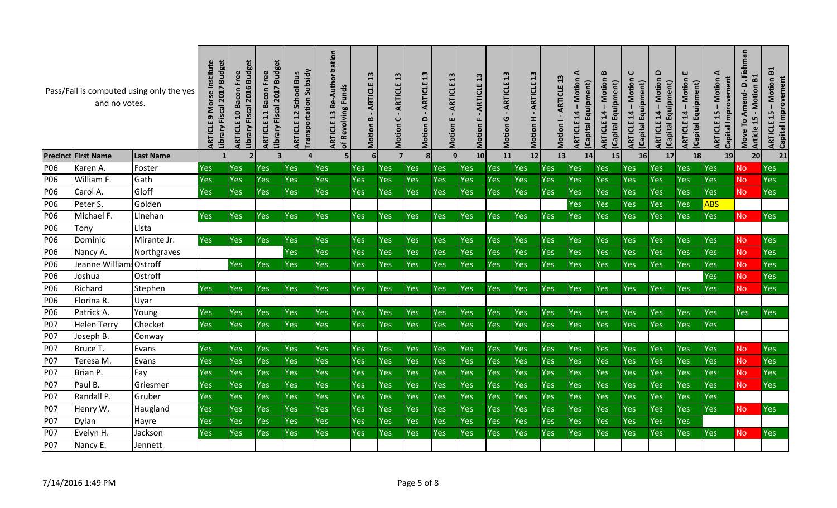|            | and no votes.              | Pass/Fail is computed using only the yes | 2017 Budget<br>Institute<br><b>Morse</b><br>Library Fiscal<br>ARTICLI | 2016 Budget<br><b>ARTICLE 10 Bacon Free</b><br>Library Fiscal | 2017 Budget<br>Free<br>Bacon<br>Library Fiscal<br>11<br>ARTICLE | <b>Transportation Subsidy</b><br><b>School Bus</b><br>12<br>ARTICLE | Re-Authorization<br><b>Funds</b><br>of Revolving<br>$\frac{3}{2}$<br>ARTICLE | $\frac{1}{2}$<br><b>ARTICLE</b><br>$\bf{m}$<br>Motion | $\mathbf{13}$<br>ARTICLE<br>$\cup$<br>Motion | 13<br>ARTICLE<br>۵<br>Motion | $\mathbf{a}$<br>ARTICLE<br>ш<br>Motion | $\mathbf{a}$<br><b>ARTICLE</b><br>Motion | 13<br>ARTICLE<br>G<br>Motion | $\mathbf{a}$<br>ARTICLE<br>Motion H | <b>ARTICLE 13</b><br>Motion I | ⋖<br>Motion<br>(Capital Equipment)<br>14<br>ARTICLE | $\mathbf{m}$<br><b>Motion</b><br>(Capital Equipment)<br>$14 -$<br>ARTICLE | C<br>Motion<br>(Capital Equipment)<br>$\mathbf{I}$<br>14<br><b>ARTICLE</b> | $\Omega$<br><b>ARTICLE 14 - Motion</b><br>Equipment)<br>Capital | ш<br><b>Motion</b><br>(Capital Equipment)<br>$14 -$<br>ARTICLE | ⋖<br>Capital Improvement<br><b>Motion</b><br>15<br>ARTICLE | Fishman<br>B1<br>Amend-D.<br>Motion<br>ഥ<br>Move To<br>Ţ<br>Article | B1<br><b>ARTICLE 15 - Motion<br/>Capital Improvement</b> |
|------------|----------------------------|------------------------------------------|-----------------------------------------------------------------------|---------------------------------------------------------------|-----------------------------------------------------------------|---------------------------------------------------------------------|------------------------------------------------------------------------------|-------------------------------------------------------|----------------------------------------------|------------------------------|----------------------------------------|------------------------------------------|------------------------------|-------------------------------------|-------------------------------|-----------------------------------------------------|---------------------------------------------------------------------------|----------------------------------------------------------------------------|-----------------------------------------------------------------|----------------------------------------------------------------|------------------------------------------------------------|---------------------------------------------------------------------|----------------------------------------------------------|
|            | <b>Precinct First Name</b> | <b>Last Name</b>                         |                                                                       | $\overline{2}$                                                | 3                                                               |                                                                     | 5                                                                            | 6                                                     |                                              | 8 <sup>1</sup>               | 9 <sub>l</sub>                         | 10 <sup>1</sup>                          | 11                           | 12                                  | 13                            | 14                                                  | 15                                                                        | 16                                                                         | 17                                                              | 18                                                             | 19                                                         | 20                                                                  | 21                                                       |
| P06        | Karen A.                   | Foster                                   | Yes                                                                   | Yes                                                           | Yes                                                             | Yes                                                                 | <b>Yes</b>                                                                   | Yes                                                   | <b>Yes</b>                                   | Yes                          | Yes                                    | Yes                                      | Yes                          | Yes                                 | Yes                           | Yes                                                 | <b>Yes</b>                                                                | Yes                                                                        | Yes                                                             | Yes                                                            | <b>Yes</b>                                                 | <b>No</b>                                                           | Yes                                                      |
| P06        | William F.                 | Gath                                     | Yes                                                                   | Yes                                                           | Yes                                                             | Yes                                                                 | Yes                                                                          | Yes                                                   | Yes                                          | Yes                          | Yes                                    | Yes                                      | Yes                          | Yes                                 | Yes                           | Yes                                                 | Yes                                                                       | Yes                                                                        | Yes                                                             | Yes                                                            | Yes                                                        | <b>No</b>                                                           | Yes                                                      |
| P06        | Carol A.                   | Gloff                                    | Yes                                                                   | Yes                                                           | Yes                                                             | Yes                                                                 | Yes                                                                          | Yes                                                   | Yes                                          | Yes                          | Yes                                    | Yes                                      | Yes                          | Yes                                 | Yes                           | Yes                                                 | <b>Yes</b>                                                                | Yes                                                                        | Yes                                                             | Yes                                                            | Yes                                                        | <b>No</b>                                                           | Yes                                                      |
| P06        | Peter S.                   | Golden                                   |                                                                       |                                                               |                                                                 |                                                                     |                                                                              |                                                       |                                              |                              |                                        |                                          |                              |                                     |                               | Yes                                                 | <b>Yes</b>                                                                | Yes                                                                        | Yes                                                             | Yes                                                            | <b>ABS</b>                                                 |                                                                     |                                                          |
| P06        | Michael F.                 | Linehan                                  | Yes                                                                   | Yes                                                           | <b>Yes</b>                                                      | Yes                                                                 | Yes                                                                          | <b>Yes</b>                                            | <b>Yes</b>                                   | <b>Yes</b>                   | <b>Yes</b>                             | Yes                                      | Yes                          | Yes                                 | <b>Yes</b>                    | Yes                                                 | <b>Yes</b>                                                                | Yes                                                                        | Yes                                                             | <b>Yes</b>                                                     | <b>Yes</b>                                                 | <b>No</b>                                                           | Yes                                                      |
| P06        | Tony                       | Lista                                    |                                                                       |                                                               |                                                                 |                                                                     |                                                                              |                                                       |                                              |                              |                                        |                                          |                              |                                     |                               |                                                     |                                                                           |                                                                            |                                                                 |                                                                |                                                            |                                                                     |                                                          |
| P06        | Dominic                    | Mirante Jr.                              | Yes                                                                   | Yes                                                           | Yes                                                             | Yes                                                                 | <b>Yes</b>                                                                   | Yes                                                   | <b>Yes</b>                                   | Yes                          | Yes                                    | Yes                                      | Yes                          | Yes                                 | Yes                           | Yes                                                 | Yes                                                                       | Yes                                                                        | Yes                                                             | <b>Yes</b>                                                     | <b>Yes</b>                                                 | <b>No</b>                                                           | Yes                                                      |
| P06        | Nancy A.                   | Northgraves                              |                                                                       |                                                               |                                                                 | Yes                                                                 | Yes                                                                          | Yes                                                   | Yes                                          | <b>Yes</b>                   | Yes                                    | Yes                                      | Yes                          | Yes                                 | Yes                           | Yes                                                 | Yes                                                                       | Yes                                                                        | Yes                                                             | <b>Yes</b>                                                     | Yes                                                        | <b>No</b>                                                           | Yes                                                      |
| P06        | Jeanne William             | Ostroff                                  |                                                                       | Yes                                                           | Yes                                                             | Yes                                                                 | Yes                                                                          | Yes                                                   | Yes                                          | <b>Yes</b>                   | Yes                                    | Yes                                      | Yes                          | Yes                                 | Yes                           | Yes                                                 | Yes                                                                       | Yes                                                                        | Yes                                                             | Yes                                                            | Yes                                                        | <b>No</b>                                                           | Yes                                                      |
| P06        | Joshua                     | Ostroff                                  |                                                                       |                                                               |                                                                 |                                                                     |                                                                              |                                                       |                                              |                              |                                        |                                          |                              |                                     |                               |                                                     |                                                                           |                                                                            |                                                                 |                                                                | <b>Yes</b>                                                 | <b>No</b>                                                           | Yes                                                      |
| P06        | Richard                    | Stephen                                  | Yes                                                                   | Yes                                                           | Yes                                                             | Yes                                                                 | <b>Yes</b>                                                                   | <b>Yes</b>                                            | <b>Yes</b>                                   | <b>Yes</b>                   | <b>Yes</b>                             | Yes                                      | Yes                          | Yes                                 | <b>Yes</b>                    | Yes                                                 | <b>Yes</b>                                                                | Yes                                                                        | Yes                                                             | <b>Yes</b>                                                     | <b>Yes</b>                                                 | <b>No</b>                                                           | <b>Yes</b>                                               |
| P06        | Florina R.                 | Uyar                                     |                                                                       |                                                               |                                                                 |                                                                     |                                                                              |                                                       |                                              |                              |                                        |                                          |                              |                                     |                               |                                                     |                                                                           |                                                                            |                                                                 |                                                                |                                                            |                                                                     |                                                          |
| P06        | Patrick A.                 | Young                                    | Yes                                                                   | Yes                                                           | Yes                                                             | Yes                                                                 | <b>Yes</b>                                                                   | Yes                                                   | Yes                                          | <b>Yes</b>                   | Yes                                    | Yes                                      | Yes                          | Yes                                 | <b>Yes</b>                    | Yes                                                 | Yes                                                                       | Yes                                                                        | Yes                                                             | Yes                                                            | <b>Yes</b>                                                 | <b>Yes</b>                                                          | <b>Yes</b>                                               |
| P07        | <b>Helen Terry</b>         | Checket                                  | Yes                                                                   | Yes                                                           | Yes                                                             | Yes                                                                 | <b>Yes</b>                                                                   | Yes                                                   | Yes                                          | <b>Yes</b>                   | <b>Yes</b>                             | Yes                                      | Yes                          | Yes                                 | Yes                           | Yes                                                 | Yes                                                                       | Yes                                                                        | Yes                                                             | Yes                                                            | Yes                                                        |                                                                     |                                                          |
| <b>P07</b> | Joseph B.                  | Conway                                   |                                                                       |                                                               |                                                                 |                                                                     |                                                                              |                                                       |                                              |                              |                                        |                                          |                              |                                     |                               |                                                     |                                                                           |                                                                            |                                                                 |                                                                |                                                            |                                                                     |                                                          |
| P07        | Bruce T.                   | Evans                                    | Yes                                                                   | Yes                                                           | Yes                                                             | Yes                                                                 | Yes                                                                          | Yes                                                   | Yes                                          | Yes                          | Yes                                    | Yes                                      | Yes                          | Yes                                 | Yes                           | Yes                                                 | <b>Yes</b>                                                                | Yes                                                                        | Yes                                                             | <b>Yes</b>                                                     | Yes                                                        | <b>No</b>                                                           | Yes                                                      |
| <b>P07</b> | Teresa M.                  | Evans                                    | Yes                                                                   | Yes                                                           | Yes                                                             | Yes                                                                 | Yes                                                                          | Yes                                                   | Yes                                          | Yes                          | Yes                                    | Yes                                      | Yes                          | Yes                                 | Yes                           | Yes                                                 | Yes                                                                       | Yes                                                                        | Yes                                                             | <b>Yes</b>                                                     | Yes                                                        | <b>No</b>                                                           | Yes                                                      |
| P07        | Brian P.                   | Fay                                      | Yes                                                                   | Yes                                                           | Yes                                                             | Yes                                                                 | <b>Yes</b>                                                                   | Yes                                                   | Yes                                          | Yes                          | Yes                                    | Yes                                      | Yes                          | Yes                                 | Yes                           | Yes                                                 | <b>Yes</b>                                                                | Yes                                                                        | Yes                                                             | Yes                                                            | <b>Yes</b>                                                 | No.                                                                 | Yes                                                      |
| P07        | Paul B.                    | Griesmer                                 | Yes                                                                   | Yes                                                           | Yes                                                             | Yes                                                                 | <b>Yes</b>                                                                   | Yes                                                   | Yes                                          | Yes                          | Yes                                    | Yes                                      | Yes                          | Yes                                 | Yes                           | Yes                                                 | <b>Yes</b>                                                                | Yes                                                                        | Yes                                                             | Yes                                                            | <b>Yes</b>                                                 | <b>No</b>                                                           | Yes                                                      |
| <b>P07</b> | Randall P.                 | Gruber                                   | Yes                                                                   | Yes                                                           | Yes                                                             | Yes                                                                 | Yes                                                                          | Yes                                                   | Yes                                          | <b>Yes</b>                   | Yes                                    | Yes                                      | Yes                          | Yes                                 | Yes                           | Yes                                                 | Yes                                                                       | Yes                                                                        | Yes                                                             | <b>Yes</b>                                                     | Yes                                                        |                                                                     |                                                          |
| <b>P07</b> | Henry W.                   | Haugland                                 | Yes                                                                   | Yes                                                           | Yes                                                             | <b>Yes</b>                                                          | <b>Yes</b>                                                                   | Yes                                                   | Yes                                          | <b>Yes</b>                   | Yes                                    | Yes                                      | Yes                          | Yes                                 | Yes                           | Yes                                                 | <b>Yes</b>                                                                | Yes                                                                        | Yes                                                             | <b>Yes</b>                                                     | <b>Yes</b>                                                 | <b>No</b>                                                           | Yes                                                      |
| P07        | Dylan                      | Hayre                                    | Yes                                                                   | Yes                                                           | Yes                                                             | Yes                                                                 | <b>Yes</b>                                                                   | Yes                                                   | Yes                                          | Yes                          | Yes                                    | Yes                                      | Yes                          | Yes                                 | Yes                           | Yes                                                 | Yes                                                                       | Yes                                                                        | Yes                                                             | Yes                                                            |                                                            |                                                                     |                                                          |
| P07        | Evelyn H.                  | Jackson                                  | Yes                                                                   | Yes                                                           | Yes                                                             | Yes                                                                 | <b>Yes</b>                                                                   | Yes                                                   | Yes                                          | Yes                          | Yes                                    | Yes                                      | Yes                          | Yes                                 | Yes                           | Yes                                                 | Yes                                                                       | Yes                                                                        | Yes                                                             | <b>Yes</b>                                                     | <b>Yes</b>                                                 | <b>No</b>                                                           | Yes                                                      |
| <b>P07</b> | Nancy E.                   | Jennett                                  |                                                                       |                                                               |                                                                 |                                                                     |                                                                              |                                                       |                                              |                              |                                        |                                          |                              |                                     |                               |                                                     |                                                                           |                                                                            |                                                                 |                                                                |                                                            |                                                                     |                                                          |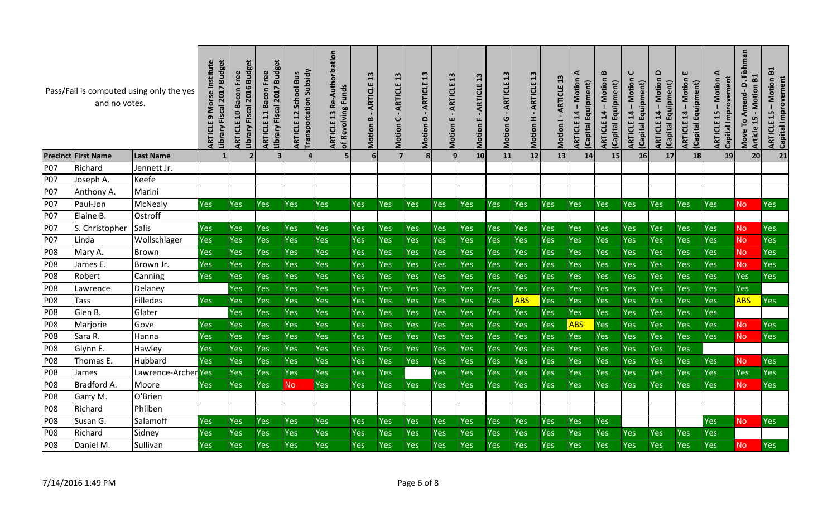|            | and no votes.              | Pass/Fail is computed using only the yes | Institute<br>2017 Budget<br>Library Fiscal<br>Σ<br><b>ARTICLE</b> | 2016 Budget<br>Free<br><b>ARTICLE 10 Bacon</b><br>Library Fiscal | 2017 Budget<br>Free<br>Bacon<br>Library Fiscal<br>11<br><b>ARTICLE</b> | <b>Transportation Subsidy</b><br><b>Bus</b><br>School<br>12<br>ARTICLE | Re-Authorization<br><b>Funds</b><br>of Revolving<br>$\frac{3}{2}$<br>ARTICLE | $\mathbf{a}$<br>ARTICLE<br>B<br>Motion | $\mathbf{a}$<br>ARTICLE<br>ပ<br>Motion | $\mathbf{a}$<br>ARTICLE<br>۵<br>Motion | 13<br>ARTICLE<br>ш<br><b>Motion</b> | $\mathbf{13}$<br>ARTICLE<br>Motion | 13<br><b>ARTICLE</b><br>ပ<br>Motion | $\mathbf{a}$<br>ARTICLE<br>Motion H | 13<br><b>ARTICLE</b><br>Motion | ⋖<br>Motion<br>(Capital Equipment)<br>$14 -$<br>ARTICLE | $\bf{m}$<br>Motion<br>Equipment)<br>$14 -$<br><b>ARTICLE</b><br>Capital <sup>I</sup> | C<br>Motion<br>Equipment)<br>14<br><b>ARTICLE</b><br>(Capital | $\Omega$<br><b>Motion</b><br>Equipment)<br>$14 -$<br><b>ARTICLE</b><br>Capital | ш<br>Motion<br>(Capital Equipment)<br>$\mathbf{I}$<br>14<br>ARTICLE | ⋖<br>Capital Improvement<br>Motion<br>15<br>ARTICLE | Fishman<br>B1<br>d<br>Motion<br>Amend-<br>Move To<br>$\blacktriangleright$<br>Article | $\mathbf{E}$<br><b>ARTICLE 15 - Motion<br/>Capital Improvement</b> |
|------------|----------------------------|------------------------------------------|-------------------------------------------------------------------|------------------------------------------------------------------|------------------------------------------------------------------------|------------------------------------------------------------------------|------------------------------------------------------------------------------|----------------------------------------|----------------------------------------|----------------------------------------|-------------------------------------|------------------------------------|-------------------------------------|-------------------------------------|--------------------------------|---------------------------------------------------------|--------------------------------------------------------------------------------------|---------------------------------------------------------------|--------------------------------------------------------------------------------|---------------------------------------------------------------------|-----------------------------------------------------|---------------------------------------------------------------------------------------|--------------------------------------------------------------------|
|            | <b>Precinct First Name</b> | <b>Last Name</b>                         |                                                                   | $\overline{\phantom{a}}$                                         | 3                                                                      |                                                                        |                                                                              |                                        |                                        | 8                                      |                                     | 10 <sub>l</sub>                    | 11                                  | 12                                  | 13                             | 14                                                      | 15                                                                                   | 16                                                            | 17                                                                             | 18                                                                  | 19                                                  | 20                                                                                    | 21                                                                 |
| P07        | Richard                    | Jennett Jr.                              |                                                                   |                                                                  |                                                                        |                                                                        |                                                                              |                                        |                                        |                                        |                                     |                                    |                                     |                                     |                                |                                                         |                                                                                      |                                                               |                                                                                |                                                                     |                                                     |                                                                                       |                                                                    |
| P07        | Joseph A.                  | Keefe                                    |                                                                   |                                                                  |                                                                        |                                                                        |                                                                              |                                        |                                        |                                        |                                     |                                    |                                     |                                     |                                |                                                         |                                                                                      |                                                               |                                                                                |                                                                     |                                                     |                                                                                       |                                                                    |
| P07        | Anthony A.                 | Marini                                   |                                                                   |                                                                  |                                                                        |                                                                        |                                                                              |                                        |                                        |                                        |                                     |                                    |                                     |                                     |                                |                                                         |                                                                                      |                                                               |                                                                                |                                                                     |                                                     |                                                                                       |                                                                    |
| P07        | Paul-Jon                   | McNealy                                  | Yes                                                               | Yes                                                              | Yes                                                                    | <b>Yes</b>                                                             | Yes                                                                          | <b>Yes</b>                             | Yes                                    | <b>Yes</b>                             | Yes                                 | <b>Yes</b>                         | Yes                                 | <b>Yes</b>                          | Yes                            | Yes                                                     | <b>Yes</b>                                                                           | <b>Yes</b>                                                    | Yes                                                                            | <b>Yes</b>                                                          | Yes                                                 | N <sub>o</sub>                                                                        | Yes                                                                |
| P07        | Elaine B.                  | Ostroff                                  |                                                                   |                                                                  |                                                                        |                                                                        |                                                                              |                                        |                                        |                                        |                                     |                                    |                                     |                                     |                                |                                                         |                                                                                      |                                                               |                                                                                |                                                                     |                                                     |                                                                                       |                                                                    |
| P07        | S. Christopher             | <b>Salis</b>                             | Yes                                                               | Yes                                                              | Yes                                                                    | Yes                                                                    | Yes                                                                          | <b>Yes</b>                             | Yes                                    | Yes                                    | Yes                                 | Yes                                | <b>Yes</b>                          | <b>Yes</b>                          | Yes                            | Yes                                                     | Yes                                                                                  | <b>Yes</b>                                                    | Yes                                                                            | <b>Yes</b>                                                          | Yes                                                 | <b>No</b>                                                                             | Yes                                                                |
| <b>P07</b> | Linda                      | Wollschlager                             | Yes                                                               | Yes                                                              | Yes                                                                    | Yes                                                                    | Yes                                                                          | Yes                                    | Yes                                    | Yes                                    | Yes                                 | Yes                                | Yes                                 | <b>Yes</b>                          | Yes                            | Yes                                                     | Yes                                                                                  | Yes                                                           | Yes                                                                            | Yes                                                                 | Yes                                                 | <b>No</b>                                                                             | Yes                                                                |
| <b>P08</b> | Mary A.                    | <b>Brown</b>                             | Yes                                                               | Yes                                                              | Yes                                                                    | Yes                                                                    | Yes                                                                          | <b>Yes</b>                             | Yes                                    | <b>Yes</b>                             | Yes                                 | Yes                                | Yes                                 | <b>Yes</b>                          | Yes                            | Yes                                                     | Yes                                                                                  | Yes                                                           | Yes                                                                            | Yes                                                                 | Yes                                                 | <b>No</b>                                                                             | Yes                                                                |
| <b>P08</b> | James E.                   | Brown Jr.                                | Yes                                                               | Yes                                                              | Yes                                                                    | Yes                                                                    | Yes                                                                          | <b>Yes</b>                             | Yes                                    | Yes                                    | Yes                                 | Yes                                | Yes                                 | <b>Yes</b>                          | Yes                            | Yes                                                     | Yes                                                                                  | Yes                                                           | Yes                                                                            | <b>Yes</b>                                                          | Yes                                                 | <b>No</b>                                                                             | Yes                                                                |
| <b>P08</b> | Robert                     | Canning                                  | Yes                                                               | Yes                                                              | Yes                                                                    | Yes                                                                    | <b>Yes</b>                                                                   | <b>Yes</b>                             | Yes                                    | Yes                                    | Yes                                 | Yes                                | Yes                                 | Yes                                 | Yes                            | Yes                                                     | Yes                                                                                  | <b>Yes</b>                                                    | Yes                                                                            | <b>Yes</b>                                                          | Yes                                                 | Yes                                                                                   | <b>Yes</b>                                                         |
| <b>P08</b> | Lawrence                   | Delaney                                  |                                                                   | Yes                                                              | Yes                                                                    | Yes                                                                    | Yes                                                                          | <b>Yes</b>                             | Yes                                    | <b>Yes</b>                             | Yes                                 | Yes                                | Yes                                 | <b>Yes</b>                          | Yes                            | Yes                                                     | Yes                                                                                  | <b>Yes</b>                                                    | Yes                                                                            | Yes                                                                 | Yes                                                 | <b>Yes</b>                                                                            |                                                                    |
| <b>P08</b> | Tass                       | Filledes                                 | Yes                                                               | Yes                                                              | <b>Yes</b>                                                             | Yes                                                                    | <b>Yes</b>                                                                   | <b>Yes</b>                             | Yes                                    | Yes                                    | Yes                                 | Yes                                | Yes                                 | <b>ABS</b>                          | Yes                            | Yes                                                     | Yes                                                                                  | Yes                                                           | Yes                                                                            | <b>Yes</b>                                                          | Yes                                                 | <b>ABS</b>                                                                            | <b>Yes</b>                                                         |
| <b>P08</b> | Glen B.                    | Glater                                   |                                                                   | Yes                                                              | Yes                                                                    | Yes                                                                    | <b>Yes</b>                                                                   | <b>Yes</b>                             | Yes                                    | Yes                                    | Yes                                 | Yes                                | Yes                                 | <b>Yes</b>                          | Yes                            | Yes                                                     | Yes                                                                                  | Yes                                                           | Yes                                                                            | Yes                                                                 | Yes                                                 |                                                                                       |                                                                    |
| P08        | Marjorie                   | Gove                                     | Yes                                                               | Yes                                                              | Yes                                                                    | Yes                                                                    | <b>Yes</b>                                                                   | <b>Yes</b>                             | Yes                                    | Yes                                    | Yes                                 | Yes                                | Yes                                 | Yes                                 | Yes                            | <b>ABS</b>                                              | Yes                                                                                  | Yes                                                           | Yes                                                                            | <b>Yes</b>                                                          | Yes                                                 | <b>No</b>                                                                             | Yes                                                                |
| <b>P08</b> | Sara R.                    | Hanna                                    | Yes                                                               | Yes                                                              | Yes                                                                    | Yes                                                                    | Yes                                                                          | <b>Yes</b>                             | Yes                                    | Yes                                    | Yes                                 | Yes                                | Yes                                 | Yes                                 | Yes                            | Yes                                                     | Yes                                                                                  | Yes                                                           | Yes                                                                            | Yes                                                                 | Yes                                                 | <b>No</b>                                                                             | Yes                                                                |
| <b>P08</b> | Glynn E.                   | Hawley                                   | Yes                                                               | Yes                                                              | <b>Yes</b>                                                             | Yes                                                                    | Yes                                                                          | <b>Yes</b>                             | Yes                                    | <b>Yes</b>                             | Yes                                 | Yes                                | Yes                                 | <b>Yes</b>                          | Yes                            | Yes                                                     | Yes                                                                                  | <b>Yes</b>                                                    | Yes                                                                            | <b>Yes</b>                                                          |                                                     |                                                                                       |                                                                    |
| <b>P08</b> | Thomas E.                  | Hubbard                                  | Yes                                                               | Yes                                                              | <b>Yes</b>                                                             | Yes                                                                    | Yes                                                                          | <b>Yes</b>                             | Yes                                    | <b>Yes</b>                             | Yes                                 | Yes                                | Yes                                 | <b>Yes</b>                          | Yes                            | Yes                                                     | Yes                                                                                  | Yes                                                           | Yes                                                                            | <b>Yes</b>                                                          | Yes                                                 | <b>No</b>                                                                             | Yes                                                                |
| <b>P08</b> | James                      | Lawrence-Archer Yes                      |                                                                   | Yes                                                              | Yes                                                                    | Yes                                                                    | <b>Yes</b>                                                                   | <b>Yes</b>                             | Yes                                    |                                        | Yes                                 | Yes                                | Yes                                 | <b>Yes</b>                          | Yes                            | Yes                                                     | Yes                                                                                  | Yes                                                           | Yes                                                                            | <b>Yes</b>                                                          | Yes                                                 | Yes                                                                                   | <b>Yes</b>                                                         |
| <b>P08</b> | Bradford A.                | Moore                                    | Yes                                                               | Yes                                                              | Yes                                                                    | <b>No</b>                                                              | Yes                                                                          | <b>Yes</b>                             | Yes                                    | <b>Yes</b>                             | Yes                                 | Yes                                | Yes                                 | <b>Yes</b>                          | Yes                            | Yes                                                     | Yes                                                                                  | <b>Yes</b>                                                    | Yes                                                                            | <b>Yes</b>                                                          | Yes                                                 | N <sub>o</sub>                                                                        | Yes                                                                |
| <b>P08</b> | Garry M.                   | O'Brien                                  |                                                                   |                                                                  |                                                                        |                                                                        |                                                                              |                                        |                                        |                                        |                                     |                                    |                                     |                                     |                                |                                                         |                                                                                      |                                                               |                                                                                |                                                                     |                                                     |                                                                                       |                                                                    |
| P08        | Richard                    | Philben                                  |                                                                   |                                                                  |                                                                        |                                                                        |                                                                              |                                        |                                        |                                        |                                     |                                    |                                     |                                     |                                |                                                         |                                                                                      |                                                               |                                                                                |                                                                     |                                                     |                                                                                       |                                                                    |
| <b>P08</b> | Susan G.                   | Salamoff                                 | Yes                                                               | Yes                                                              | Yes                                                                    | Yes                                                                    | <b>Yes</b>                                                                   | <b>Yes</b>                             | Yes                                    | Yes                                    | Yes                                 | Yes                                | Yes                                 | <b>Yes</b>                          | <b>Yes</b>                     | Yes                                                     | <b>Yes</b>                                                                           |                                                               |                                                                                |                                                                     | Yes                                                 | <b>No</b>                                                                             | Yes                                                                |
| <b>P08</b> | Richard                    | Sidney                                   | Yes                                                               | Yes                                                              | Yes                                                                    | Yes                                                                    | Yes                                                                          | <b>Yes</b>                             | Yes                                    | Yes                                    | Yes                                 | Yes                                | Yes                                 | Yes                                 | Yes                            | Yes                                                     | Yes                                                                                  | Yes                                                           | Yes                                                                            | <b>Yes</b>                                                          | Yes                                                 |                                                                                       |                                                                    |
| <b>P08</b> | Daniel M                   | Sullivan                                 | Yes                                                               | Yes                                                              | Yes                                                                    | Yes                                                                    | Yes                                                                          | <b>Yes</b>                             | Yes                                    | Yes                                    | Yes                                 | Yes                                | Yes                                 | <b>Yes</b>                          | Yes                            | Yes                                                     | Yes                                                                                  | Yes                                                           | Yes                                                                            | <b>Yes</b>                                                          | Yes                                                 | <b>No</b>                                                                             | Yes                                                                |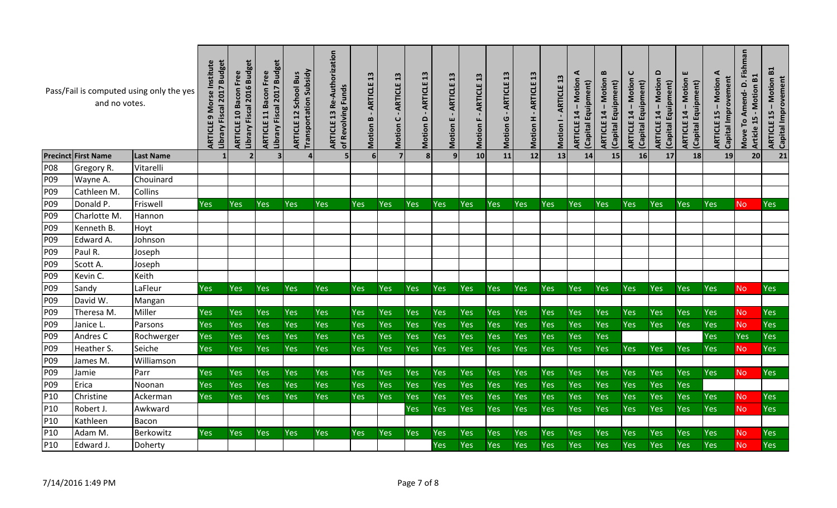|                 | and no votes.              | Pass/Fail is computed using only the yes | Institute<br>2017 Budget<br><b>Morse</b><br>Library Fiscal<br><b>ARTICLE</b> | 2016 Budget<br><b>ARTICLE 10 Bacon Free</b><br>Library Fiscal | 2017 Budget<br>Free<br>Bacon<br>Library Fiscal<br>$\mathbf{1}$<br>ARTICLE | <b>Transportation Subsidy</b><br><b>School Bus</b><br>12<br>ARTICLE | 13 Re-Authorization<br>of Revolving Funds<br><b>ARTICLE</b> | $\mathbf{a}$<br>ARTICLE<br>B<br>Motion | $\mathbf{a}$<br>ARTICLE<br>$\cup$<br>Motion | $\mathbf{a}$<br>ARTICLE<br>۵<br>Motion | $\mathbf{13}$<br>ARTICLE<br>ш<br>Motion | $\mathbf{a}$<br>ARTICLE<br>Motion | 13<br><b>ARTICLE</b><br>G<br>Motion | $\mathbf{a}$<br>ARTICLE<br>Motion H | <b>ARTICLE 13</b><br>Motion | ⋖<br>$14 -$ Motion<br>(Capital Equipment)<br>ARTICLE | $\bf{m}$<br>14 – Motion<br>(Capital Equipment)<br><b>ARTICLE</b> | C<br>Motion<br>(Capital Equipment)<br>14<br><b>ARTICLE</b> | $\Omega$<br><b>ARTICLE 14 - Motion</b><br>(Capital Equipment) | ш<br><b>Motion</b><br>(Capital Equipment)<br>$14 -$<br>ARTICLE | ⋖<br>Capital Improvement<br>Motion<br>$\mathbf{I}$<br>15<br><b>ARTICLE</b> | Move To Amend-D. Fishman<br>B1<br>Motion<br>$\blacksquare$<br>15<br>Article | $\mathbf{E}$<br><b>ARTICLE 15 - Motion<br/>Capital Improvement</b> |
|-----------------|----------------------------|------------------------------------------|------------------------------------------------------------------------------|---------------------------------------------------------------|---------------------------------------------------------------------------|---------------------------------------------------------------------|-------------------------------------------------------------|----------------------------------------|---------------------------------------------|----------------------------------------|-----------------------------------------|-----------------------------------|-------------------------------------|-------------------------------------|-----------------------------|------------------------------------------------------|------------------------------------------------------------------|------------------------------------------------------------|---------------------------------------------------------------|----------------------------------------------------------------|----------------------------------------------------------------------------|-----------------------------------------------------------------------------|--------------------------------------------------------------------|
|                 | <b>Precinct First Name</b> | <b>Last Name</b>                         |                                                                              | $\overline{\phantom{a}}$                                      | 3                                                                         |                                                                     |                                                             | 6                                      |                                             | 8                                      | $\mathbf{q}$                            | 10                                | 11                                  | 12                                  | 13                          | 14                                                   | 15                                                               | 16                                                         | 17                                                            | 18                                                             | 19                                                                         | 20                                                                          | 21                                                                 |
| <b>P08</b>      | Gregory R.                 | Vitarelli                                |                                                                              |                                                               |                                                                           |                                                                     |                                                             |                                        |                                             |                                        |                                         |                                   |                                     |                                     |                             |                                                      |                                                                  |                                                            |                                                               |                                                                |                                                                            |                                                                             |                                                                    |
| P09             | Wayne A.                   | Chouinard                                |                                                                              |                                                               |                                                                           |                                                                     |                                                             |                                        |                                             |                                        |                                         |                                   |                                     |                                     |                             |                                                      |                                                                  |                                                            |                                                               |                                                                |                                                                            |                                                                             |                                                                    |
| P09             | Cathleen M.                | Collins                                  |                                                                              |                                                               |                                                                           |                                                                     |                                                             |                                        |                                             |                                        |                                         |                                   |                                     |                                     |                             |                                                      |                                                                  |                                                            |                                                               |                                                                |                                                                            |                                                                             |                                                                    |
| P <sub>09</sub> | Donald P.                  | Friswell                                 | Yes                                                                          | Yes                                                           | <b>Yes</b>                                                                | <b>Yes</b>                                                          | Yes                                                         | <b>Yes</b>                             | Yes                                         | <b>Yes</b>                             | <b>Yes</b>                              | <b>Yes</b>                        | Yes                                 | <b>Yes</b>                          | <b>Yes</b>                  | <b>Yes</b>                                           | <b>Yes</b>                                                       | <b>Yes</b>                                                 | Yes                                                           | <b>Yes</b>                                                     | Yes                                                                        | N <sub>o</sub>                                                              | Yes                                                                |
| P09             | Charlotte M.               | Hannon                                   |                                                                              |                                                               |                                                                           |                                                                     |                                                             |                                        |                                             |                                        |                                         |                                   |                                     |                                     |                             |                                                      |                                                                  |                                                            |                                                               |                                                                |                                                                            |                                                                             |                                                                    |
| P09             | Kenneth B.                 | Hoyt                                     |                                                                              |                                                               |                                                                           |                                                                     |                                                             |                                        |                                             |                                        |                                         |                                   |                                     |                                     |                             |                                                      |                                                                  |                                                            |                                                               |                                                                |                                                                            |                                                                             |                                                                    |
| P09             | Edward A.                  | Johnson                                  |                                                                              |                                                               |                                                                           |                                                                     |                                                             |                                        |                                             |                                        |                                         |                                   |                                     |                                     |                             |                                                      |                                                                  |                                                            |                                                               |                                                                |                                                                            |                                                                             |                                                                    |
| P09             | Paul R.                    | Joseph                                   |                                                                              |                                                               |                                                                           |                                                                     |                                                             |                                        |                                             |                                        |                                         |                                   |                                     |                                     |                             |                                                      |                                                                  |                                                            |                                                               |                                                                |                                                                            |                                                                             |                                                                    |
| P09             | Scott A.                   | Joseph                                   |                                                                              |                                                               |                                                                           |                                                                     |                                                             |                                        |                                             |                                        |                                         |                                   |                                     |                                     |                             |                                                      |                                                                  |                                                            |                                                               |                                                                |                                                                            |                                                                             |                                                                    |
| P09             | Kevin C.                   | Keith                                    |                                                                              |                                                               |                                                                           |                                                                     |                                                             |                                        |                                             |                                        |                                         |                                   |                                     |                                     |                             |                                                      |                                                                  |                                                            |                                                               |                                                                |                                                                            |                                                                             |                                                                    |
| P <sub>09</sub> | Sandy                      | LaFleur                                  | Yes                                                                          | Yes                                                           | Yes                                                                       | Yes                                                                 | <b>Yes</b>                                                  | <b>Yes</b>                             | Yes                                         | <b>Yes</b>                             | <b>Yes</b>                              | Yes                               | Yes                                 | <b>Yes</b>                          | Yes                         | Yes                                                  | Yes                                                              | <b>Yes</b>                                                 | Yes                                                           | <b>Yes</b>                                                     | <b>Yes</b>                                                                 | No.                                                                         | <b>Yes</b>                                                         |
| P09             | David W.                   | Mangan                                   |                                                                              |                                                               |                                                                           |                                                                     |                                                             |                                        |                                             |                                        |                                         |                                   |                                     |                                     |                             |                                                      |                                                                  |                                                            |                                                               |                                                                |                                                                            |                                                                             |                                                                    |
| P09             | Theresa M.                 | Miller                                   | Yes                                                                          | Yes                                                           | Yes                                                                       | Yes                                                                 | <b>Yes</b>                                                  | <b>Yes</b>                             | Yes                                         | <b>Yes</b>                             | Yes                                     | Yes                               | Yes                                 | Yes                                 | Yes                         | Yes                                                  | <b>Yes</b>                                                       | <b>Yes</b>                                                 | Yes                                                           | <b>Yes</b>                                                     | Yes                                                                        | <b>No</b>                                                                   | Yes                                                                |
| P09             | Janice L.                  | Parsons                                  | Yes                                                                          | Yes                                                           | Yes                                                                       | Yes                                                                 | <b>Yes</b>                                                  | <b>Yes</b>                             | Yes                                         | Yes                                    | Yes                                     | Yes                               | Yes                                 | <b>Yes</b>                          | Yes                         | Yes                                                  | Yes                                                              | Yes                                                        | Yes                                                           | <b>Yes</b>                                                     | Yes                                                                        | <b>No</b>                                                                   | Yes                                                                |
| P09             | Andres C                   | Rochwerger                               | Yes                                                                          | Yes                                                           | Yes                                                                       | Yes                                                                 | Yes                                                         | <b>Yes</b>                             | Yes                                         | Yes                                    | Yes                                     | Yes                               | Yes                                 | Yes                                 | Yes                         | Yes                                                  | Yes                                                              |                                                            |                                                               |                                                                | Yes                                                                        | Yes                                                                         | Yes                                                                |
| P09             | Heather S.                 | Seiche                                   | <b>Yes</b>                                                                   | Yes                                                           | Yes                                                                       | <b>Yes</b>                                                          | <b>Yes</b>                                                  | <b>Yes</b>                             | <b>Yes</b>                                  | <b>Yes</b>                             | Yes                                     | <b>Yes</b>                        | Yes                                 | Yes                                 | Yes                         | Yes                                                  | <b>Yes</b>                                                       | <b>Yes</b>                                                 | Yes                                                           | <b>Yes</b>                                                     | <b>Yes</b>                                                                 | <b>No</b>                                                                   | <b>Yes</b>                                                         |
| P09             | James M.                   | Williamson                               |                                                                              |                                                               |                                                                           |                                                                     |                                                             |                                        |                                             |                                        |                                         |                                   |                                     |                                     |                             |                                                      |                                                                  |                                                            |                                                               |                                                                |                                                                            |                                                                             |                                                                    |
| P <sub>09</sub> | Jamie                      | Parr                                     | Yes                                                                          | Yes                                                           | Yes                                                                       | Yes                                                                 | <b>Yes</b>                                                  | <b>Yes</b>                             | Yes                                         | <b>Yes</b>                             | Yes                                     | Yes                               | Yes                                 | <b>Yes</b>                          | Yes                         | Yes                                                  | <b>Yes</b>                                                       | <b>Yes</b>                                                 | Yes                                                           | <b>Yes</b>                                                     | <b>Yes</b>                                                                 | N <sub>o</sub>                                                              | Yes                                                                |
| P09             | Erica                      | Noonan                                   | Yes                                                                          | Yes                                                           | Yes                                                                       | Yes                                                                 | <b>Yes</b>                                                  | <b>Yes</b>                             | Yes                                         | <b>Yes</b>                             | Yes                                     | Yes                               | Yes                                 | <b>Yes</b>                          | Yes                         | Yes                                                  | Yes                                                              | <b>Yes</b>                                                 | Yes                                                           | Yes                                                            |                                                                            |                                                                             |                                                                    |
| P10             | Christine                  | Ackerman                                 | Yes                                                                          | Yes                                                           | Yes                                                                       | <b>Yes</b>                                                          | Yes                                                         | <b>Yes</b>                             | Yes                                         | <b>Yes</b>                             | Yes                                     | Yes                               | Yes                                 | Yes                                 | Yes                         | Yes                                                  | Yes                                                              | <b>Yes</b>                                                 | Yes                                                           | <b>Yes</b>                                                     | Yes                                                                        | <b>No</b>                                                                   | Yes                                                                |
| P10             | Robert J.                  | Awkward                                  |                                                                              |                                                               |                                                                           |                                                                     |                                                             |                                        |                                             | <b>Yes</b>                             | Yes                                     | Yes                               | Yes                                 | <b>Yes</b>                          | Yes                         | Yes                                                  | Yes                                                              | <b>Yes</b>                                                 | Yes                                                           | <b>Yes</b>                                                     | <b>Yes</b>                                                                 | <b>No</b>                                                                   | Yes                                                                |
| P <sub>10</sub> | Kathleen                   | <b>Bacon</b>                             |                                                                              |                                                               |                                                                           |                                                                     |                                                             |                                        |                                             |                                        |                                         |                                   |                                     |                                     |                             |                                                      |                                                                  |                                                            |                                                               |                                                                |                                                                            |                                                                             |                                                                    |
| P10             | Adam M.                    | Berkowitz                                | Yes                                                                          | Yes                                                           | Yes                                                                       | Yes                                                                 | Yes                                                         | <b>Yes</b>                             | Yes                                         | <b>Yes</b>                             | Yes                                     | Yes                               | Yes                                 | Yes                                 | Yes                         | Yes                                                  | Yes                                                              | <b>Yes</b>                                                 | Yes                                                           | <b>Yes</b>                                                     | Yes                                                                        | <b>No</b>                                                                   | Yes                                                                |
| P10             | Edward J.                  | Doherty                                  |                                                                              |                                                               |                                                                           |                                                                     |                                                             |                                        |                                             |                                        | <b>Yes</b>                              | Yes                               | Yes                                 | <b>Yes</b>                          | Yes                         | Yes                                                  | Yes                                                              | Yes                                                        | Yes                                                           | <b>Yes</b>                                                     | Yes                                                                        | <b>No</b>                                                                   | Yes                                                                |